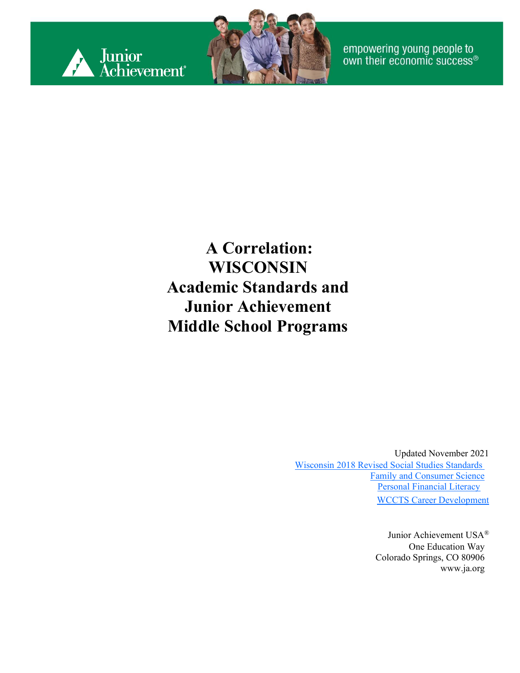



empowering young people to<br>own their economic success®

#### **A Correlation: WISCONSIN Academic Standards and Junior Achievement Middle School Programs**

Updated November 2021 Wisconsin 2018 [Revised Social Studies](https://dpi.wi.gov/sites/default/files/imce/standards/New%20pdfs/2018_WI_Social_Studies_Standards.pdf) Standards [Family and Consumer Science](https://dpi.wi.gov/sites/default/files/imce/cte/pdf/facs_standards.pdf) [Personal Financial Liter](https://dpi.wi.gov/sites/default/files/imce/standards/New%20pdfs/PersonalFinancialLiteracyStandards2020.pdf)acy [WCCTS Career Development](https://dpi.wi.gov/sites/default/files/imce/cte/pdf/WCCTS_Section_III_CD.pdf)

> Junior Achievement USA® One Education Way Colorado Springs, CO 80906 [www.ja.org](http://www.ja.org/)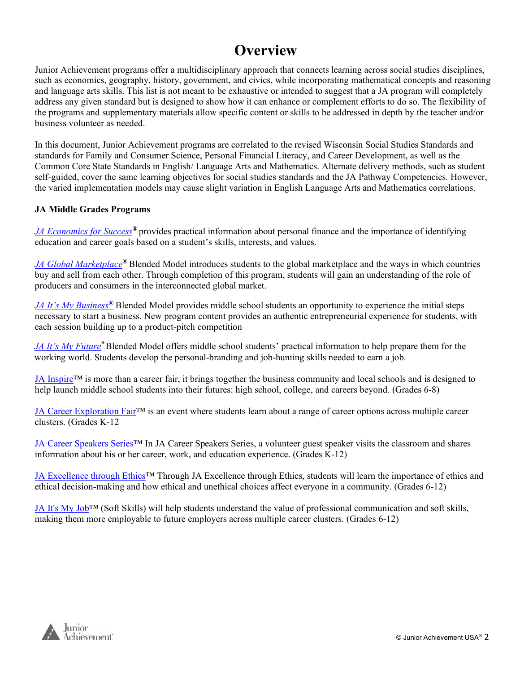#### **Overview**

Junior Achievement programs offer a multidisciplinary approach that connects learning across social studies disciplines, such as economics, geography, history, government, and civics, while incorporating mathematical concepts and reasoning and language arts skills. This list is not meant to be exhaustive or intended to suggest that a JA program will completely address any given standard but is designed to show how it can enhance or complement efforts to do so. The flexibility of the programs and supplementary materials allow specific content or skills to be addressed in depth by the teacher and/or business volunteer as needed.

In this document, Junior Achievement programs are correlated to the revised Wisconsin Social Studies Standards and standards for Family and Consumer Science, Personal Financial Literacy, and Career Development, as well as the Common Core State Standards in English/ Language Arts and Mathematics. Alternate delivery methods, such as student self-guided, cover the same learning objectives for social studies standards and the JA Pathway Competencies. However, the varied implementation models may cause slight variation in English Language Arts and Mathematics correlations.

#### **JA Middle Grades Programs**

*[JA Economics for Success](#page-2-0)®* provides practical information about personal finance and the importance of identifying education and career goals based on a student's skills, interests, and values.

*[JA Global Marketplace](#page-4-0)®* Blended Model introduces students to the global marketplace and the ways in which countries buy and sell from each other. Through completion of this program, students will gain an understanding of the role of producers and consumers in the interconnected global market.

*[JA It's My Business](#page-8-0)[®](#page-8-0)* Blended Model provides middle school students an opportunity to experience the initial steps necessary to start a business. New program content provides an authentic entrepreneurial experience for students, with each session building up to a product-pitch competition

*[JA It's My Future](#page-11-0)®* Blended Model offers middle school students' practical information to help prepare them for the working world. Students develop the personal-branding and job-hunting skills needed to earn a job.

JA Inspire<sup>TM</sup> is more than a career fair, it brings together the business community and local schools and is designed to help launch middle school students into their futures: high school, college, and careers beyond. (Grades 6-8)

[JA Career Exploration Fair™](#page-19-0) is an event where students learn about a range of career options across multiple career clusters. (Grades K-12

[JA Career Speakers Series™](#page-20-0) In JA Career Speakers Series, a volunteer guest speaker visits the classroom and shares information about his or her career, work, and education experience. (Grades K-12)

JA Excellence through Ethics™ Through JA Excellence through Ethics, students will learn the importance of ethics and ethical decision-making and how ethical and unethical choices affect everyone in a community. (Grades 6-12)

[JA It's My Job™](#page-22-0) (Soft Skills) will help students understand the value of professional communication and soft skills, making them more employable to future employers across multiple career clusters. (Grades 6-12)

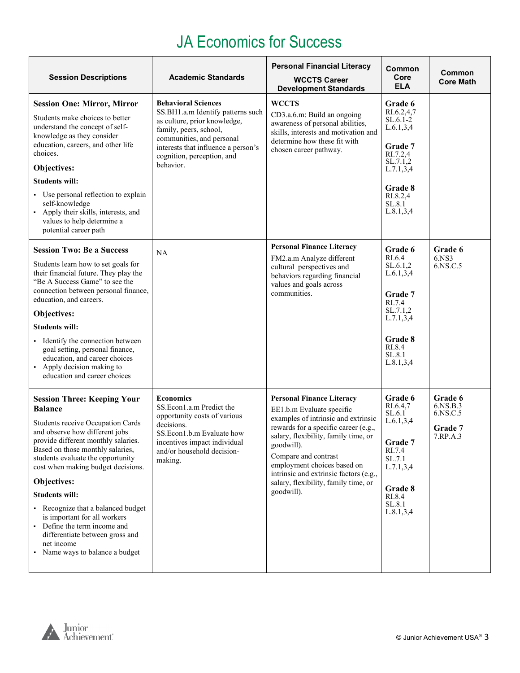#### JA Economics for Success

<span id="page-2-0"></span>

| <b>Session Descriptions</b>                                                                                                                                                                                                                                                                                                                                                                                                                                                                                     | <b>Academic Standards</b>                                                                                                                                                                                                                | <b>Personal Financial Literacy</b><br><b>WCCTS Career</b><br><b>Development Standards</b>                                                                                                                                                                                                                                                                 | Common<br>Core<br><b>ELA</b>                                                                                                                       | Common<br><b>Core Math</b>                             |
|-----------------------------------------------------------------------------------------------------------------------------------------------------------------------------------------------------------------------------------------------------------------------------------------------------------------------------------------------------------------------------------------------------------------------------------------------------------------------------------------------------------------|------------------------------------------------------------------------------------------------------------------------------------------------------------------------------------------------------------------------------------------|-----------------------------------------------------------------------------------------------------------------------------------------------------------------------------------------------------------------------------------------------------------------------------------------------------------------------------------------------------------|----------------------------------------------------------------------------------------------------------------------------------------------------|--------------------------------------------------------|
| <b>Session One: Mirror, Mirror</b><br>Students make choices to better<br>understand the concept of self-<br>knowledge as they consider<br>education, careers, and other life<br>choices.<br>Objectives:<br><b>Students will:</b><br>• Use personal reflection to explain<br>self-knowledge<br>Apply their skills, interests, and<br>values to help determine a<br>potential career path                                                                                                                         | <b>Behavioral Sciences</b><br>SS.BH1.a.m Identify patterns such<br>as culture, prior knowledge,<br>family, peers, school,<br>communities, and personal<br>interests that influence a person's<br>cognition, perception, and<br>behavior. | <b>WCCTS</b><br>CD3.a.6.m: Build an ongoing<br>awareness of personal abilities,<br>skills, interests and motivation and<br>determine how these fit with<br>chosen career pathway.                                                                                                                                                                         | Grade 6<br>RI.6.2,4,7<br>SL.6.1-2<br>L.6.1, 3, 4<br>Grade 7<br>RI.7.2,4<br>SL.7.1,2<br>L.7.1, 3, 4<br>Grade 8<br>RI.8.2,4<br>SL.8.1<br>L.8.1, 3, 4 |                                                        |
| <b>Session Two: Be a Success</b><br>Students learn how to set goals for<br>their financial future. They play the<br>"Be A Success Game" to see the<br>connection between personal finance,<br>education, and careers.<br>Objectives:<br><b>Students will:</b><br>Identify the connection between<br>goal setting, personal finance,<br>education, and career choices<br>• Apply decision making to<br>education and career choices                                                                              | NA                                                                                                                                                                                                                                       | <b>Personal Finance Literacy</b><br>FM2.a.m Analyze different<br>cultural perspectives and<br>behaviors regarding financial<br>values and goals across<br>communities.                                                                                                                                                                                    | <b>Grade 6</b><br>RI.6.4<br>SL.6.1,2<br>L.6.1, 3, 4<br>Grade 7<br>RI.7.4<br>SL.7.1,2<br>L.7.1,3,4<br>Grade 8<br>RI.8.4<br>SL.8.1<br>L.8.1, 3, 4    | Grade 6<br>6.NS3<br>6.NS.C.5                           |
| <b>Session Three: Keeping Your</b><br><b>Balance</b><br>Students receive Occupation Cards<br>and observe how different jobs<br>provide different monthly salaries.<br>Based on those monthly salaries,<br>students evaluate the opportunity<br>cost when making budget decisions.<br>Objectives:<br><b>Students will:</b><br>Recognize that a balanced budget<br>is important for all workers<br>• Define the term income and<br>differentiate between gross and<br>net income<br>Name ways to balance a budget | <b>Economics</b><br>SS.Econ1.a.m Predict the<br>opportunity costs of various<br>decisions.<br>SS.Econ1.b.m Evaluate how<br>incentives impact individual<br>and/or household decision-<br>making.                                         | <b>Personal Finance Literacy</b><br>EE1.b.m Evaluate specific<br>examples of intrinsic and extrinsic<br>rewards for a specific career (e.g.,<br>salary, flexibility, family time, or<br>goodwill).<br>Compare and contrast<br>employment choices based on<br>intrinsic and extrinsic factors (e.g.,<br>salary, flexibility, family time, or<br>goodwill). | Grade 6<br>RI.6.4,7<br>SL.6.1<br>L.6.1, 3, 4<br>Grade 7<br>RI.7.4<br>SL.7.1<br>L.7.1, 3, 4<br>Grade 8<br>RI.8.4<br>SL.8.1<br>L.8.1, 3, 4           | Grade 6<br>6.NS.B.3<br>6.NS.C.5<br>Grade 7<br>7.RP.A.3 |

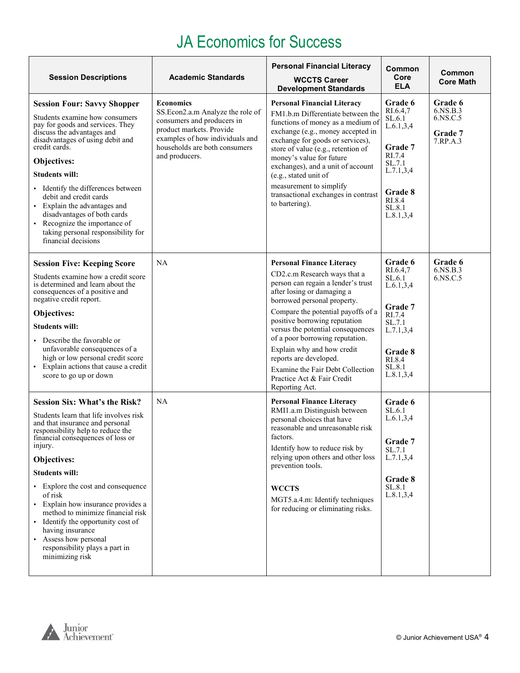#### JA Economics for Success

| <b>Session Descriptions</b>                                                                                                                                                                                                                                                                                                                                                                                                                                                                                      | <b>Academic Standards</b>                                                                                                                                                                            | <b>Personal Financial Literacy</b><br><b>WCCTS Career</b><br><b>Development Standards</b>                                                                                                                                                                                                                                                                                                                                                                      | Common<br>Core<br><b>ELA</b>                                                                                                             | Common<br><b>Core Math</b>                             |
|------------------------------------------------------------------------------------------------------------------------------------------------------------------------------------------------------------------------------------------------------------------------------------------------------------------------------------------------------------------------------------------------------------------------------------------------------------------------------------------------------------------|------------------------------------------------------------------------------------------------------------------------------------------------------------------------------------------------------|----------------------------------------------------------------------------------------------------------------------------------------------------------------------------------------------------------------------------------------------------------------------------------------------------------------------------------------------------------------------------------------------------------------------------------------------------------------|------------------------------------------------------------------------------------------------------------------------------------------|--------------------------------------------------------|
| <b>Session Four: Savvy Shopper</b><br>Students examine how consumers<br>pay for goods and services. They<br>discuss the advantages and<br>disadvantages of using debit and<br>credit cards.<br>Objectives:<br><b>Students will:</b><br>Identify the differences between<br>debit and credit cards<br>• Explain the advantages and<br>disadvantages of both cards<br>• Recognize the importance of<br>taking personal responsibility for<br>financial decisions                                                   | <b>Economics</b><br>SS.Econ2.a.m Analyze the role of<br>consumers and producers in<br>product markets. Provide<br>examples of how individuals and<br>households are both consumers<br>and producers. | <b>Personal Financial Literacy</b><br>FM1.b.m Differentiate between the<br>functions of money as a medium of<br>exchange (e.g., money accepted in<br>exchange for goods or services),<br>store of value (e.g., retention of<br>money's value for future<br>exchanges), and a unit of account<br>(e.g., stated unit of<br>measurement to simplify<br>transactional exchanges in contrast<br>to bartering).                                                      | Grade 6<br>RI.6.4,7<br>SL.6.1<br>L.6.1, 3, 4<br>Grade 7<br>RI.7.4<br>SL.7.1<br>L.7.1, 3, 4<br>Grade 8<br>RI.8.4<br>SL.8.1<br>L.8.1, 3, 4 | Grade 6<br>6.NS.B.3<br>6.NS.C.5<br>Grade 7<br>7.RP.A.3 |
| <b>Session Five: Keeping Score</b><br>Students examine how a credit score<br>is determined and learn about the<br>consequences of a positive and<br>negative credit report.<br>Objectives:<br><b>Students will:</b><br>Describe the favorable or<br>unfavorable consequences of a<br>high or low personal credit score<br>• Explain actions that cause a credit<br>score to go up or down                                                                                                                        | NA                                                                                                                                                                                                   | <b>Personal Finance Literacy</b><br>CD2.c.m Research ways that a<br>person can regain a lender's trust<br>after losing or damaging a<br>borrowed personal property.<br>Compare the potential payoffs of a<br>positive borrowing reputation<br>versus the potential consequences<br>of a poor borrowing reputation.<br>Explain why and how credit<br>reports are developed.<br>Examine the Fair Debt Collection<br>Practice Act & Fair Credit<br>Reporting Act. | Grade 6<br>RI.6.4,7<br>SL.6.1<br>L.6.1, 3, 4<br>Grade 7<br>RI.7.4<br>SL.7.1<br>L.7.1, 3, 4<br>Grade 8<br>RI.8.4<br>SL.8.1<br>L.8.1, 3, 4 | Grade 6<br>6.NS.B.3<br>6.NS.C.5                        |
| <b>Session Six: What's the Risk?</b><br>Students learn that life involves risk<br>and that insurance and personal<br>responsibility help to reduce the<br>financial consequences of loss or<br>injury.<br>Objectives:<br><b>Students will:</b><br>• Explore the cost and consequence<br>of risk<br>· Explain how insurance provides a<br>method to minimize financial risk<br>• Identify the opportunity cost of<br>having insurance<br>Assess how personal<br>responsibility plays a part in<br>minimizing risk | <b>NA</b>                                                                                                                                                                                            | <b>Personal Finance Literacy</b><br>RMI1.a.m Distinguish between<br>personal choices that have<br>reasonable and unreasonable risk<br>factors.<br>Identify how to reduce risk by<br>relying upon others and other loss<br>prevention tools.<br><b>WCCTS</b><br>MGT5.a.4.m: Identify techniques<br>for reducing or eliminating risks.                                                                                                                           | Grade 6<br>SL.6.1<br>L.6.1, 3.4<br>Grade 7<br>SL.7.1<br>L.7.1, 3, 4<br>Grade 8<br>SL.8.1<br>L.8.1, 3, 4                                  |                                                        |

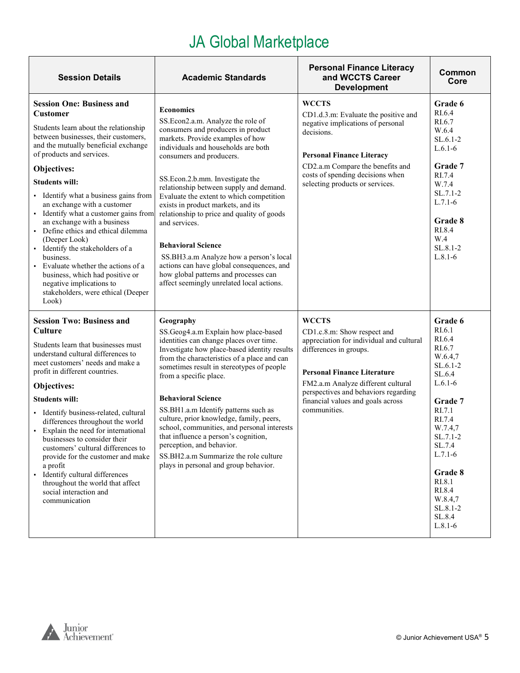<span id="page-4-0"></span>

| <b>Session Details</b>                                                                                                                                                                                                                                                                                                                                                                                                                                                                                                                                                                                                                                          | <b>Academic Standards</b>                                                                                                                                                                                                                                                                                                                                                                                                                                                                                                                                                                                                                    | <b>Personal Finance Literacy</b><br>and WCCTS Career<br><b>Development</b>                                                                                                                                                                                                                 | Common<br>Core                                                                                                                                                                                                                                |
|-----------------------------------------------------------------------------------------------------------------------------------------------------------------------------------------------------------------------------------------------------------------------------------------------------------------------------------------------------------------------------------------------------------------------------------------------------------------------------------------------------------------------------------------------------------------------------------------------------------------------------------------------------------------|----------------------------------------------------------------------------------------------------------------------------------------------------------------------------------------------------------------------------------------------------------------------------------------------------------------------------------------------------------------------------------------------------------------------------------------------------------------------------------------------------------------------------------------------------------------------------------------------------------------------------------------------|--------------------------------------------------------------------------------------------------------------------------------------------------------------------------------------------------------------------------------------------------------------------------------------------|-----------------------------------------------------------------------------------------------------------------------------------------------------------------------------------------------------------------------------------------------|
| <b>Session One: Business and</b><br><b>Customer</b><br>Students learn about the relationship<br>between businesses, their customers,<br>and the mutually beneficial exchange<br>of products and services.<br>Objectives:<br><b>Students will:</b><br>• Identify what a business gains from<br>an exchange with a customer<br>· Identify what a customer gains from<br>an exchange with a business<br>• Define ethics and ethical dilemma<br>(Deeper Look)<br>· Identify the stakeholders of a<br>business.<br>• Evaluate whether the actions of a<br>business, which had positive or<br>negative implications to<br>stakeholders, were ethical (Deeper<br>Look) | <b>Economics</b><br>SS.Econ2.a.m. Analyze the role of<br>consumers and producers in product<br>markets. Provide examples of how<br>individuals and households are both<br>consumers and producers.<br>SS.Econ.2.b.mm. Investigate the<br>relationship between supply and demand.<br>Evaluate the extent to which competition<br>exists in product markets, and its<br>relationship to price and quality of goods<br>and services.<br><b>Behavioral Science</b><br>SS.BH3.a.m Analyze how a person's local<br>actions can have global consequences, and<br>how global patterns and processes can<br>affect seemingly unrelated local actions. | <b>WCCTS</b><br>CD1.d.3.m: Evaluate the positive and<br>negative implications of personal<br>decisions.<br><b>Personal Finance Literacy</b><br>CD2.a.m Compare the benefits and<br>costs of spending decisions when<br>selecting products or services.                                     | Grade 6<br>RI.6.4<br>RI.6.7<br>W.6.4<br>SL.6.1-2<br>$L.6.1-6$<br>Grade 7<br>RI.7.4<br>W.7.4<br>SL.7.1-2<br>$L.7.1-6$<br>Grade 8<br>RI.8.4<br>W.4<br>SL.8.1-2<br>$L.8.1-6$                                                                     |
| <b>Session Two: Business and</b><br>Culture<br>Students learn that businesses must<br>understand cultural differences to<br>meet customers' needs and make a<br>profit in different countries.<br>Objectives:<br><b>Students will:</b><br>· Identify business-related, cultural<br>differences throughout the world<br>• Explain the need for international<br>businesses to consider their<br>customers' cultural differences to<br>provide for the customer and make<br>a profit<br>· Identify cultural differences<br>throughout the world that affect<br>social interaction and<br>communication                                                            | Geography<br>SS.Geog4.a.m Explain how place-based<br>identities can change places over time.<br>Investigate how place-based identity results<br>from the characteristics of a place and can<br>sometimes result in stereotypes of people<br>from a specific place.<br><b>Behavioral Science</b><br>SS.BH1.a.m Identify patterns such as<br>culture, prior knowledge, family, peers,<br>school, communities, and personal interests<br>that influence a person's cognition,<br>perception, and behavior.<br>SS.BH2.a.m Summarize the role culture<br>plays in personal and group behavior.                                                    | <b>WCCTS</b><br>CD1.c.8.m: Show respect and<br>appreciation for individual and cultural<br>differences in groups.<br><b>Personal Finance Literature</b><br>FM2.a.m Analyze different cultural<br>perspectives and behaviors regarding<br>financial values and goals across<br>communities. | Grade 6<br>RI.6.1<br>RI.6.4<br>RI.6.7<br>W.6.4,7<br>SL.6.1-2<br>SL.6.4<br>$L.6.1-6$<br>Grade 7<br>RI.7.1<br>RI.7.4<br>W.7.4,7<br>SL.7.1-2<br>SL.7.4<br>$L.7.1-6$<br>Grade 8<br>RI.8.1<br>RI.8.4<br>W.8.4,7<br>SL.8.1-2<br>SL.8.4<br>$L.8.1-6$ |

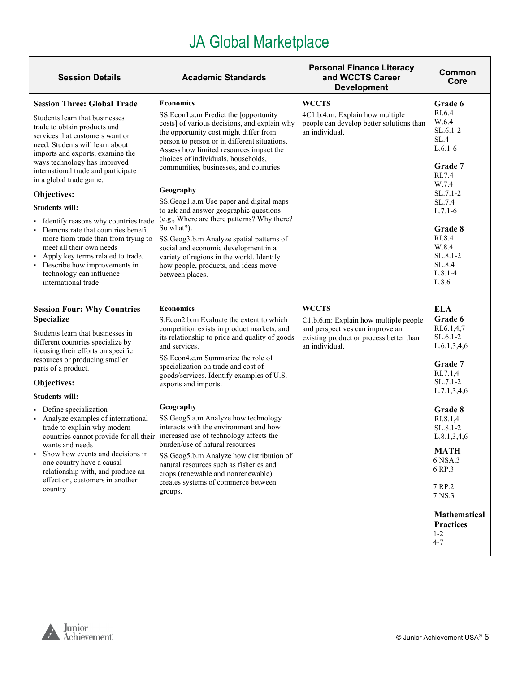| <b>Session Details</b>                                                                                                                                                                                                                                                                                                                                                                                                                                                                                                                                                                                                              | <b>Academic Standards</b>                                                                                                                                                                                                                                                                                                                                                                                                                                                                                                                                                                                                                                                                  | <b>Personal Finance Literacy</b><br>and WCCTS Career<br><b>Development</b>                                                                            | Common<br>Core                                                                                                                                                                                                                                                                                |
|-------------------------------------------------------------------------------------------------------------------------------------------------------------------------------------------------------------------------------------------------------------------------------------------------------------------------------------------------------------------------------------------------------------------------------------------------------------------------------------------------------------------------------------------------------------------------------------------------------------------------------------|--------------------------------------------------------------------------------------------------------------------------------------------------------------------------------------------------------------------------------------------------------------------------------------------------------------------------------------------------------------------------------------------------------------------------------------------------------------------------------------------------------------------------------------------------------------------------------------------------------------------------------------------------------------------------------------------|-------------------------------------------------------------------------------------------------------------------------------------------------------|-----------------------------------------------------------------------------------------------------------------------------------------------------------------------------------------------------------------------------------------------------------------------------------------------|
| <b>Session Three: Global Trade</b><br>Students learn that businesses<br>trade to obtain products and<br>services that customers want or<br>need. Students will learn about<br>imports and exports, examine the<br>ways technology has improved<br>international trade and participate<br>in a global trade game.<br>Objectives:<br><b>Students will:</b><br>Identify reasons why countries trade<br>Demonstrate that countries benefit<br>more from trade than from trying to<br>meet all their own needs<br>Apply key terms related to trade.<br>• Describe how improvements in<br>technology can influence<br>international trade | <b>Economics</b><br>SS.Econ1.a.m Predict the [opportunity<br>costs] of various decisions, and explain why<br>the opportunity cost might differ from<br>person to person or in different situations.<br>Assess how limited resources impact the<br>choices of individuals, households,<br>communities, businesses, and countries<br>Geography<br>SS.Geog1.a.m Use paper and digital maps<br>to ask and answer geographic questions<br>(e.g., Where are there patterns? Why there?<br>So what?).<br>SS.Geog3.b.m Analyze spatial patterns of<br>social and economic development in a<br>variety of regions in the world. Identify<br>how people, products, and ideas move<br>between places. | <b>WCCTS</b><br>4C1.b.4.m: Explain how multiple<br>people can develop better solutions than<br>an individual.                                         | Grade 6<br>RI.6.4<br>W.6.4<br>$SL.6.1-2$<br>SL.4<br>$L.6.1-6$<br>Grade 7<br>RI.7.4<br>W.7.4<br>$SL.7.1-2$<br>SL.7.4<br>$L.7.1-6$<br>Grade 8<br>RI.8.4<br>W.8.4<br>SL.8.1-2<br>SL.8.4<br>$L.8.1 - 4$<br>L.8.6                                                                                  |
| <b>Session Four: Why Countries</b><br><b>Specialize</b><br>Students learn that businesses in<br>different countries specialize by<br>focusing their efforts on specific<br>resources or producing smaller<br>parts of a product.<br>Objectives:<br><b>Students will:</b><br>Define specialization<br>Analyze examples of international<br>trade to explain why modern<br>countries cannot provide for all their<br>wants and needs<br>Show how events and decisions in<br>$\blacksquare$<br>one country have a causal<br>relationship with, and produce an<br>effect on, customers in another<br>country                            | <b>Economics</b><br>S.Econ2.b.m Evaluate the extent to which<br>competition exists in product markets, and<br>its relationship to price and quality of goods<br>and services.<br>SS.Econ4.e.m Summarize the role of<br>specialization on trade and cost of<br>goods/services. Identify examples of U.S.<br>exports and imports.<br>Geography<br>SS.Geog5.a.m Analyze how technology<br>interacts with the environment and how<br>increased use of technology affects the<br>burden/use of natural resources<br>SS.Geog5.b.m Analyze how distribution of<br>natural resources such as fisheries and<br>crops (renewable and nonrenewable)<br>creates systems of commerce between<br>groups. | <b>WCCTS</b><br>C1.b.6.m: Explain how multiple people<br>and perspectives can improve an<br>existing product or process better than<br>an individual. | <b>ELA</b><br>Grade 6<br>RI.6.1,4,7<br>SL.6.1-2<br>L.6.1, 3, 4, 6<br>Grade 7<br>RI.7.1,4<br>SL.7.1-2<br>L.7.1, 3, 4, 6<br>Grade 8<br>RI.8.1,4<br>SL.8.1-2<br>L.8.1, 3, 4, 6<br>MATH<br>6.NSA.3<br>6.RP.3<br>7.RP.2<br>7.NS.3<br><b>Mathematical</b><br><b>Practices</b><br>$1 - 2$<br>$4 - 7$ |

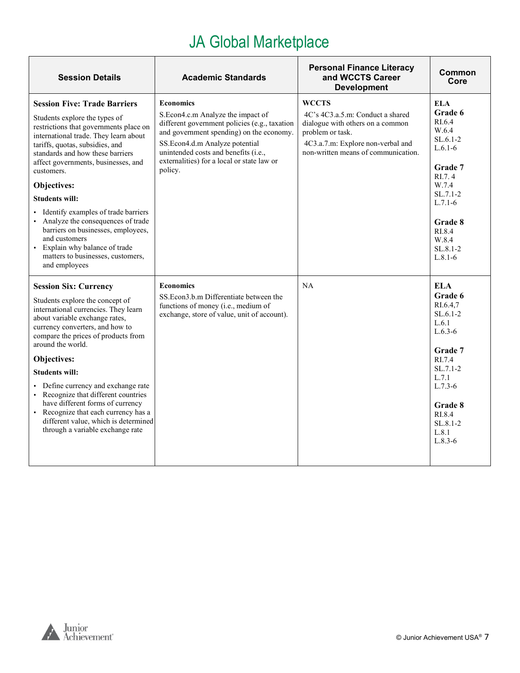| <b>Session Details</b>                                                                                                                                                                                                                                                                                                                                                                                                                                                                                                                  | <b>Academic Standards</b>                                                                                                                                                                                                                                                             | <b>Personal Finance Literacy</b><br>and WCCTS Career<br><b>Development</b>                                                                                                           | Common<br>Core                                                                                                                                                               |
|-----------------------------------------------------------------------------------------------------------------------------------------------------------------------------------------------------------------------------------------------------------------------------------------------------------------------------------------------------------------------------------------------------------------------------------------------------------------------------------------------------------------------------------------|---------------------------------------------------------------------------------------------------------------------------------------------------------------------------------------------------------------------------------------------------------------------------------------|--------------------------------------------------------------------------------------------------------------------------------------------------------------------------------------|------------------------------------------------------------------------------------------------------------------------------------------------------------------------------|
| <b>Session Five: Trade Barriers</b><br>Students explore the types of<br>restrictions that governments place on<br>international trade. They learn about<br>tariffs, quotas, subsidies, and<br>standards and how these barriers<br>affect governments, businesses, and<br>customers.<br>Objectives:<br><b>Students will:</b><br>• Identify examples of trade barriers<br>Analyze the consequences of trade<br>barriers on businesses, employees,<br>and customers<br>• Explain why balance of trade<br>matters to businesses, customers, | <b>Economics</b><br>S.Econ4.c.m Analyze the impact of<br>different government policies (e.g., taxation<br>and government spending) on the economy.<br>SS.Econ4.d.m Analyze potential<br>unintended costs and benefits (i.e.,<br>externalities) for a local or state law or<br>policy. | <b>WCCTS</b><br>4C's 4C3.a.5.m: Conduct a shared<br>dialogue with others on a common<br>problem or task.<br>4C3.a.7.m: Explore non-verbal and<br>non-written means of communication. | ELA<br>Grade 6<br>RI.6.4<br>W.6.4<br>$SL.6.1-2$<br>$L.6.1-6$<br>Grade 7<br>RI.7.4<br>W.7.4<br>$SL.7.1-2$<br>$L.7.1-6$<br>Grade 8<br>RI.8.4<br>W.8.4<br>SL.8.1-2<br>$L.8.1-6$ |
| and employees                                                                                                                                                                                                                                                                                                                                                                                                                                                                                                                           |                                                                                                                                                                                                                                                                                       |                                                                                                                                                                                      |                                                                                                                                                                              |
| <b>Session Six: Currency</b><br>Students explore the concept of<br>international currencies. They learn<br>about variable exchange rates,<br>currency converters, and how to<br>compare the prices of products from<br>around the world.                                                                                                                                                                                                                                                                                                | <b>Economics</b><br>SS. Econ 3.b.m Differentiate between the<br>functions of money (i.e., medium of<br>exchange, store of value, unit of account).                                                                                                                                    | NA                                                                                                                                                                                   | ELA<br>Grade 6<br>RI.6.4,7<br>$SL.6.1-2$<br>L.6.1<br>$L.6.3-6$<br>Grade 7                                                                                                    |
| Objectives:                                                                                                                                                                                                                                                                                                                                                                                                                                                                                                                             |                                                                                                                                                                                                                                                                                       |                                                                                                                                                                                      | RI.7.4                                                                                                                                                                       |
| <b>Students will:</b><br>• Define currency and exchange rate<br>• Recognize that different countries<br>have different forms of currency<br>• Recognize that each currency has a<br>different value, which is determined<br>through a variable exchange rate                                                                                                                                                                                                                                                                            |                                                                                                                                                                                                                                                                                       |                                                                                                                                                                                      | $SL.7.1-2$<br>L.7.1<br>$L.7.3-6$<br>Grade 8<br>RI.8.4<br>$SL.8.1-2$                                                                                                          |
|                                                                                                                                                                                                                                                                                                                                                                                                                                                                                                                                         |                                                                                                                                                                                                                                                                                       |                                                                                                                                                                                      | L.8.1<br>$L.8.3-6$                                                                                                                                                           |



 $\mathsf{r}$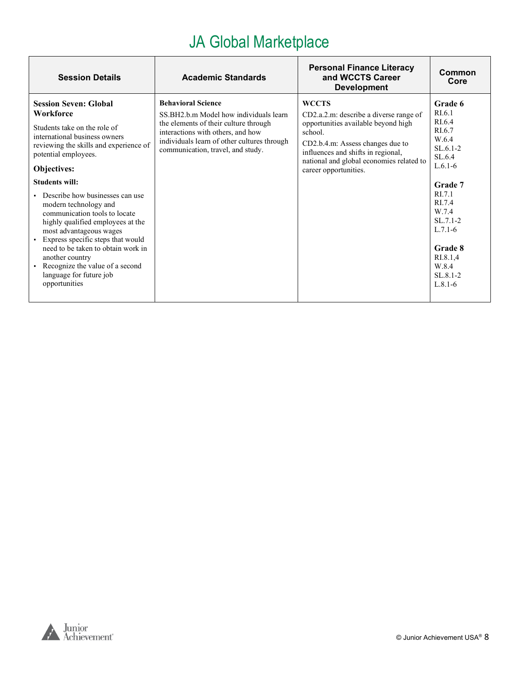| <b>Session Details</b>                                                                                                                                                                                                                                                                                                                                                                                                                                                                                                                                           | <b>Academic Standards</b>                                                                                                                                                                                                             | <b>Personal Finance Literacy</b><br>and WCCTS Career<br><b>Development</b>                                                                                                                                                                              | Common<br>Core                                                                                                                                                                                                    |
|------------------------------------------------------------------------------------------------------------------------------------------------------------------------------------------------------------------------------------------------------------------------------------------------------------------------------------------------------------------------------------------------------------------------------------------------------------------------------------------------------------------------------------------------------------------|---------------------------------------------------------------------------------------------------------------------------------------------------------------------------------------------------------------------------------------|---------------------------------------------------------------------------------------------------------------------------------------------------------------------------------------------------------------------------------------------------------|-------------------------------------------------------------------------------------------------------------------------------------------------------------------------------------------------------------------|
| <b>Session Seven: Global</b><br>Workforce<br>Students take on the role of<br>international business owners<br>reviewing the skills and experience of<br>potential employees.<br>Objectives:<br><b>Students will:</b><br>Describe how businesses can use<br>modern technology and<br>communication tools to locate<br>highly qualified employees at the<br>most advantageous wages<br>• Express specific steps that would<br>need to be taken to obtain work in<br>another country<br>Recognize the value of a second<br>language for future job<br>opportunities | <b>Behavioral Science</b><br>SS.BH2.b.m Model how individuals learn<br>the elements of their culture through<br>interactions with others, and how<br>individuals learn of other cultures through<br>communication, travel, and study. | <b>WCCTS</b><br>CD2.a.2.m: describe a diverse range of<br>opportunities available beyond high<br>school.<br>CD2.b.4.m: Assess changes due to<br>influences and shifts in regional,<br>national and global economies related to<br>career opportunities. | Grade 6<br>RI.6.1<br>RI.6.4<br>RI.6.7<br>W.6.4<br>$SL.6.1-2$<br>SL.6.4<br>$L.6.1-6$<br>Grade 7<br>RI.7.1<br>RI.7.4<br>W.7.4<br>$SL.7.1-2$<br>$L.7.1-6$<br>Grade 8<br>RI.8.1,4<br>W.8.4<br>$SL.8.1-2$<br>$L.8.1-6$ |

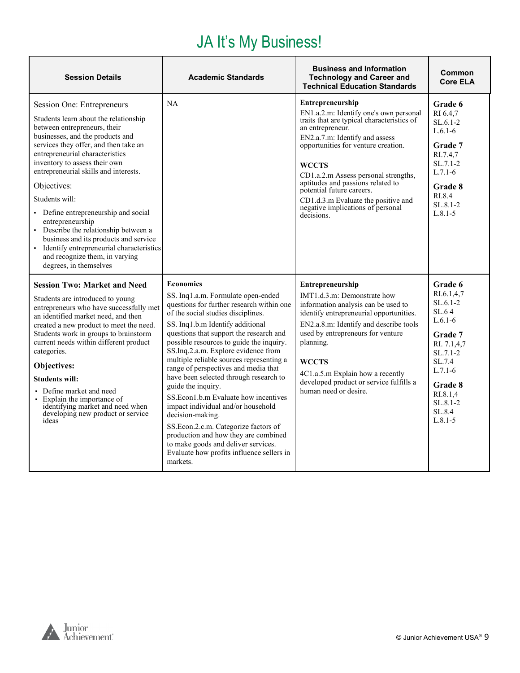#### JA It's My Business!

<span id="page-8-0"></span>

| <b>Session Details</b>                                                                                                                                                                                                                                                                                                                                                                                                                                                                                                                                                                 | <b>Academic Standards</b>                                                                                                                                                                                                                                                                                                                                                                                                                                                                                                                                                                                                                                                                                                                         | <b>Business and Information</b><br><b>Technology and Career and</b><br><b>Technical Education Standards</b>                                                                                                                                                                                                                                                                                                               | Common<br><b>Core ELA</b>                                                                                                                                                                |
|----------------------------------------------------------------------------------------------------------------------------------------------------------------------------------------------------------------------------------------------------------------------------------------------------------------------------------------------------------------------------------------------------------------------------------------------------------------------------------------------------------------------------------------------------------------------------------------|---------------------------------------------------------------------------------------------------------------------------------------------------------------------------------------------------------------------------------------------------------------------------------------------------------------------------------------------------------------------------------------------------------------------------------------------------------------------------------------------------------------------------------------------------------------------------------------------------------------------------------------------------------------------------------------------------------------------------------------------------|---------------------------------------------------------------------------------------------------------------------------------------------------------------------------------------------------------------------------------------------------------------------------------------------------------------------------------------------------------------------------------------------------------------------------|------------------------------------------------------------------------------------------------------------------------------------------------------------------------------------------|
| Session One: Entrepreneurs<br>Students learn about the relationship<br>between entrepreneurs, their<br>businesses, and the products and<br>services they offer, and then take an<br>entrepreneurial characteristics<br>inventory to assess their own<br>entrepreneurial skills and interests.<br>Objectives:<br>Students will:<br>• Define entrepreneurship and social<br>entrepreneurship<br>• Describe the relationship between a<br>business and its products and service<br>• Identify entrepreneurial characteristics<br>and recognize them, in varying<br>degrees, in themselves | NA                                                                                                                                                                                                                                                                                                                                                                                                                                                                                                                                                                                                                                                                                                                                                | Entrepreneurship<br>EN1.a.2.m: Identify one's own personal<br>traits that are typical characteristics of<br>an entrepreneur.<br>EN2.a.7.m: Identify and assess<br>opportunities for venture creation.<br><b>WCCTS</b><br>CD1.a.2.m Assess personal strengths,<br>aptitudes and passions related to<br>potential future careers.<br>CD1.d.3.m Evaluate the positive and<br>negative implications of personal<br>decisions. | Grade 6<br>RI 6.4,7<br>$SL.6.1-2$<br>$L.6.1-6$<br>Grade 7<br>RI.7.4,7<br>$SL.7.1-2$<br>$L.7.1-6$<br>Grade 8<br>RI.8.4<br>$SL.8.1 - 2$<br>$L.8.1 - 5$                                     |
| <b>Session Two: Market and Need</b><br>Students are introduced to young<br>entrepreneurs who have successfully met<br>an identified market need, and then<br>created a new product to meet the need.<br>Students work in groups to brainstorm<br>current needs within different product<br>categories.<br>Objectives:<br><b>Students will:</b><br>• Define market and need<br>• Explain the importance of<br>identifying market and need when<br>developing new product or service<br>ideas                                                                                            | <b>Economics</b><br>SS. Ing1.a.m. Formulate open-ended<br>questions for further research within one<br>of the social studies disciplines.<br>SS. Inq1.b.m Identify additional<br>questions that support the research and<br>possible resources to guide the inquiry.<br>SS.Inq.2.a.m. Explore evidence from<br>multiple reliable sources representing a<br>range of perspectives and media that<br>have been selected through research to<br>guide the inquiry.<br>SS.Econ1.b.m Evaluate how incentives<br>impact individual and/or household<br>decision-making.<br>SS.Econ.2.c.m. Categorize factors of<br>production and how they are combined<br>to make goods and deliver services.<br>Evaluate how profits influence sellers in<br>markets. | <b>Entrepreneurship</b><br>IMT1.d.3.m: Demonstrate how<br>information analysis can be used to<br>identify entrepreneurial opportunities.<br>EN2.a.8.m: Identify and describe tools<br>used by entrepreneurs for venture<br>planning.<br><b>WCCTS</b><br>4C1.a.5.m Explain how a recently<br>developed product or service fulfills a<br>human need or desire.                                                              | Grade 6<br>RI.6.1,4,7<br>$SL.6.1-2$<br>SL.64<br>$L.6.1-6$<br>Grade 7<br>RI. 7.1,4,7<br>$SL.7.1-2$<br>SL.7.4<br>$L.7.1-6$<br>Grade 8<br>RI.8.1.4<br>$SL.8.1 - 2$<br>SL.8.4<br>$L.8.1 - 5$ |

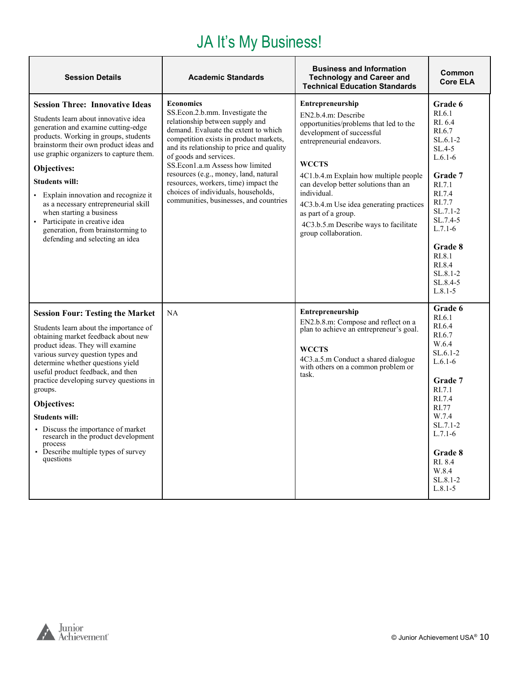#### JA It's My Business!

| <b>Session Details</b>                                                                                                                                                                                                                                                                                                                                                                                                                                                                                                | <b>Academic Standards</b>                                                                                                                                                                                                                                                                                                                                                                                                                            | <b>Business and Information</b><br><b>Technology and Career and</b><br><b>Technical Education Standards</b>                                                                                                                                                                                                                                                                                            | Common<br><b>Core ELA</b>                                                                                                                                                                                                |
|-----------------------------------------------------------------------------------------------------------------------------------------------------------------------------------------------------------------------------------------------------------------------------------------------------------------------------------------------------------------------------------------------------------------------------------------------------------------------------------------------------------------------|------------------------------------------------------------------------------------------------------------------------------------------------------------------------------------------------------------------------------------------------------------------------------------------------------------------------------------------------------------------------------------------------------------------------------------------------------|--------------------------------------------------------------------------------------------------------------------------------------------------------------------------------------------------------------------------------------------------------------------------------------------------------------------------------------------------------------------------------------------------------|--------------------------------------------------------------------------------------------------------------------------------------------------------------------------------------------------------------------------|
| <b>Session Three: Innovative Ideas</b><br>Students learn about innovative idea<br>generation and examine cutting-edge<br>products. Working in groups, students<br>brainstorm their own product ideas and<br>use graphic organizers to capture them.<br>Objectives:<br><b>Students will:</b><br>• Explain innovation and recognize it<br>as a necessary entrepreneurial skill<br>when starting a business<br>· Participate in creative idea<br>generation, from brainstorming to<br>defending and selecting an idea    | <b>Economics</b><br>SS.Econ.2.b.mm. Investigate the<br>relationship between supply and<br>demand. Evaluate the extent to which<br>competition exists in product markets,<br>and its relationship to price and quality<br>of goods and services.<br>SS.Econ1.a.m Assess how limited<br>resources (e.g., money, land, natural<br>resources, workers, time) impact the<br>choices of individuals, households,<br>communities, businesses, and countries | <b>Entrepreneurship</b><br>EN2.b.4.m: Describe<br>opportunities/problems that led to the<br>development of successful<br>entrepreneurial endeavors.<br><b>WCCTS</b><br>4C1.b.4.m Explain how multiple people<br>can develop better solutions than an<br>individual.<br>4C3.b.4.m Use idea generating practices<br>as part of a group.<br>4C3.b.5.m Describe ways to facilitate<br>group collaboration. | Grade 6<br>RI.6.1<br>RI. 6.4<br>RI.6.7<br>$SL.6.1-2$<br>$SL.4-5$<br>$L.6.1-6$<br>Grade 7<br>RI.7.1<br>RI.7.4<br>RI.7.7<br>$SL.7.1-2$<br>SL.7.4-5<br>$L.7.1-6$<br>Grade 8<br>RI.8.1                                       |
|                                                                                                                                                                                                                                                                                                                                                                                                                                                                                                                       |                                                                                                                                                                                                                                                                                                                                                                                                                                                      |                                                                                                                                                                                                                                                                                                                                                                                                        | RI.8.4<br>$SL.8.1-2$<br>SL.8.4-5<br>$L.8.1 - 5$                                                                                                                                                                          |
| <b>Session Four: Testing the Market</b><br>Students learn about the importance of<br>obtaining market feedback about new<br>product ideas. They will examine<br>various survey question types and<br>determine whether questions yield<br>useful product feedback, and then<br>practice developing survey questions in<br>groups.<br>Objectives:<br><b>Students will:</b><br>• Discuss the importance of market<br>research in the product development<br>process<br>• Describe multiple types of survey<br>questions | <b>NA</b>                                                                                                                                                                                                                                                                                                                                                                                                                                            | Entrepreneurship<br>EN2.b.8.m: Compose and reflect on a<br>plan to achieve an entrepreneur's goal.<br><b>WCCTS</b><br>4C3.a.5.m Conduct a shared dialogue<br>with others on a common problem or<br>task.                                                                                                                                                                                               | Grade 6<br>RI.6.1<br>RI.6.4<br>RI.6.7<br>W.6.4<br>$SL.6.1-2$<br>$L.6.1-6$<br><b>Grade 7</b><br>RI.7.1<br>RI.7.4<br>RI.77<br>W.7.4<br>$SL.7.1-2$<br>$L.7.1-6$<br>Grade 8<br>RI. 8.4<br>W.8.4<br>$SL.8.1-2$<br>$L.8.1 - 5$ |

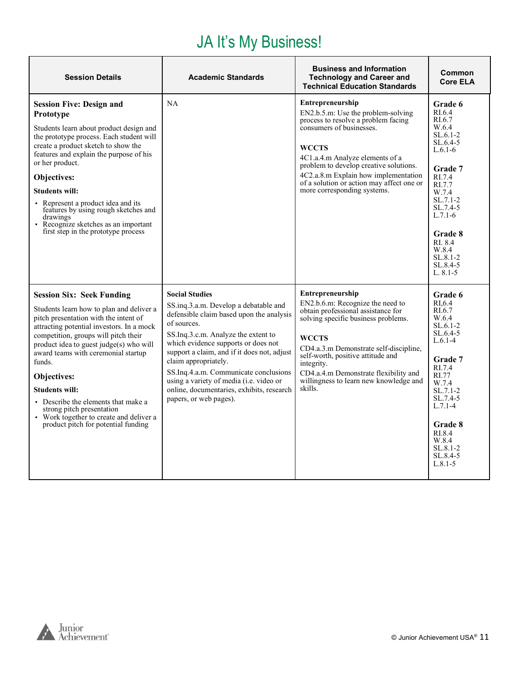#### JA It's My Business!

| <b>Session Details</b>                                                                                                                                                                                                                                                                                                                                                                                                                                                                               | <b>Academic Standards</b>                                                                                                                                                                                                                                                                                                                                                                                                                 | <b>Business and Information</b><br><b>Technology and Career and</b><br><b>Technical Education Standards</b>                                                                                                                                                                                                                                         | Common<br><b>Core ELA</b>                                                                                                                                                                                                                     |
|------------------------------------------------------------------------------------------------------------------------------------------------------------------------------------------------------------------------------------------------------------------------------------------------------------------------------------------------------------------------------------------------------------------------------------------------------------------------------------------------------|-------------------------------------------------------------------------------------------------------------------------------------------------------------------------------------------------------------------------------------------------------------------------------------------------------------------------------------------------------------------------------------------------------------------------------------------|-----------------------------------------------------------------------------------------------------------------------------------------------------------------------------------------------------------------------------------------------------------------------------------------------------------------------------------------------------|-----------------------------------------------------------------------------------------------------------------------------------------------------------------------------------------------------------------------------------------------|
| <b>Session Five: Design and</b><br>Prototype<br>Students learn about product design and<br>the prototype process. Each student will<br>create a product sketch to show the<br>features and explain the purpose of his<br>or her product.<br>Objectives:<br><b>Students will:</b><br>• Represent a product idea and its<br>features by using rough sketches and<br>drawings<br>• Recognize sketches as an important<br>first step in the prototype process                                            | <b>NA</b>                                                                                                                                                                                                                                                                                                                                                                                                                                 | <b>Entrepreneurship</b><br>EN2.b.5.m: Use the problem-solving<br>process to resolve a problem facing<br>consumers of businesses.<br><b>WCCTS</b><br>4C1.a.4.m Analyze elements of a<br>problem to develop creative solutions.<br>4C2.a.8.m Explain how implementation<br>of a solution or action may affect one or<br>more corresponding systems.   | Grade 6<br>RI.6.4<br>RI.6.7<br>W.6.4<br>$SL.6.1-2$<br>$SL.6.4-5$<br>$L.6.1-6$<br><b>Grade</b> 7<br>RI.7.4<br>RI.7.7<br>W.7.4<br>$SL.7.1-2$<br>SL.7.4-5<br>$L.7.1-6$<br>Grade 8<br>RI. 8.4<br>W.8.4<br>$SL.8.1-2$<br>SL.8.4-5<br>$L. 8.1 - 5$  |
| <b>Session Six: Seek Funding</b><br>Students learn how to plan and deliver a<br>pitch presentation with the intent of<br>attracting potential investors. In a mock<br>competition, groups will pitch their<br>product idea to guest judge(s) who will<br>award teams with ceremonial startup<br>funds.<br>Objectives:<br><b>Students will:</b><br>• Describe the elements that make a<br>strong pitch presentation<br>• Work together to create and deliver a<br>product pitch for potential funding | <b>Social Studies</b><br>SS.inq.3.a.m. Develop a debatable and<br>defensible claim based upon the analysis<br>of sources.<br>SS.Ing.3.c.m. Analyze the extent to<br>which evidence supports or does not<br>support a claim, and if it does not, adjust<br>claim appropriately.<br>SS.Inq.4.a.m. Communicate conclusions<br>using a variety of media (i.e. video or<br>online, documentaries, exhibits, research<br>papers, or web pages). | <b>Entrepreneurship</b><br>EN2.b.6.m: Recognize the need to<br>obtain professional assistance for<br>solving specific business problems.<br><b>WCCTS</b><br>CD4.a.3.m Demonstrate self-discipline,<br>self-worth, positive attitude and<br>integrity.<br>CD4.a.4.m Demonstrate flexibility and<br>willingness to learn new knowledge and<br>skills. | Grade 6<br>RI.6.4<br>RI.6.7<br>W.6.4<br>$SL.6.1-2$<br>$SL.6.4-5$<br>$L.6.1-4$<br><b>Grade</b> 7<br>RI.7.4<br>RI.77<br>W.7.4<br>$SL.7.1-2$<br>SL.7.4-5<br>$L.7.1-4$<br>Grade 8<br>RI.8.4<br>W.8.4<br>$SL.8.1 - 2$<br>$SL.8.4-5$<br>$L.8.1 - 5$ |



г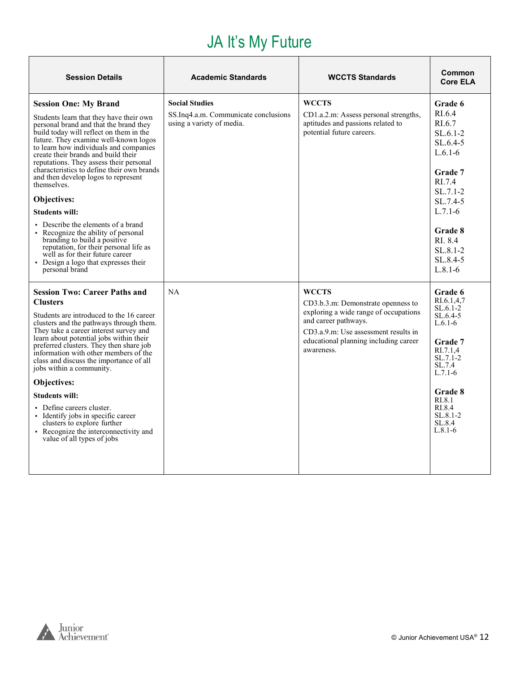## JA It's My Future

<span id="page-11-0"></span>

| <b>Session Details</b>                                                                                                                                                                                                                                                                                                                                                                                                                                                                                                                                                                                                                                                  | <b>Academic Standards</b>                                                                  | <b>WCCTS Standards</b>                                                                                                                                                                                             | Common<br><b>Core ELA</b>                                                                                                                                          |
|-------------------------------------------------------------------------------------------------------------------------------------------------------------------------------------------------------------------------------------------------------------------------------------------------------------------------------------------------------------------------------------------------------------------------------------------------------------------------------------------------------------------------------------------------------------------------------------------------------------------------------------------------------------------------|--------------------------------------------------------------------------------------------|--------------------------------------------------------------------------------------------------------------------------------------------------------------------------------------------------------------------|--------------------------------------------------------------------------------------------------------------------------------------------------------------------|
| <b>Session One: My Brand</b><br>Students learn that they have their own<br>personal brand and that the brand they<br>build today will reflect on them in the<br>future. They examine well-known logos<br>to learn how individuals and companies<br>create their brands and build their<br>reputations. They assess their personal<br>characteristics to define their own brands<br>and then develop logos to represent<br>themselves.<br>Objectives:<br><b>Students will:</b><br>• Describe the elements of a brand<br>• Recognize the ability of personal<br>branding to build a positive<br>reputation, for their personal life as<br>well as for their future career | <b>Social Studies</b><br>SS.Inq4.a.m. Communicate conclusions<br>using a variety of media. | <b>WCCTS</b><br>CD1.a.2.m: Assess personal strengths,<br>aptitudes and passions related to<br>potential future careers.                                                                                            | Grade 6<br>RI.6.4<br>RI.6.7<br>$SL.6.1-2$<br>$SL.6.4-5$<br>$L.6.1-6$<br>Grade 7<br>RI.7.4<br>$SL.7.1-2$<br>SL.7.4-5<br>$L.7.1-6$<br>Grade 8<br>RI. 8.4<br>SL.8.1-2 |
| • Design a logo that expresses their<br>personal brand<br><b>Session Two: Career Paths and</b><br><b>Clusters</b><br>Students are introduced to the 16 career<br>clusters and the pathways through them.<br>They take a career interest survey and<br>learn about potential jobs within their<br>preferred clusters. They then share job<br>information with other members of the<br>class and discuss the importance of all<br>jobs within a community.<br>Objectives:                                                                                                                                                                                                 | <b>NA</b>                                                                                  | <b>WCCTS</b><br>CD3.b.3.m: Demonstrate openness to<br>exploring a wide range of occupations<br>and career pathways.<br>CD3.a.9.m: Use assessment results in<br>educational planning including career<br>awareness. | $SL.8.4-5$<br>$L.8.1-6$<br>Grade 6<br>RI.6.1.4.7<br>$SL.6.1-2$<br>$SL.6.4-5$<br>$L.6.1-6$<br><b>Grade 7</b><br>RI.7.1.4<br>$SL.7.1-2$<br>SL.7.4<br>$L.7.1-6$       |
| <b>Students will:</b><br>• Define careers cluster.<br>• Identify jobs in specific career<br>clusters to explore further<br>• Recognize the interconnectivity and<br>value of all types of jobs                                                                                                                                                                                                                                                                                                                                                                                                                                                                          |                                                                                            |                                                                                                                                                                                                                    | Grade 8<br>RI.8.1<br>RL8.4<br>$SL.8.1 - 2$<br>SL.8.4<br>$L.8.1-6$                                                                                                  |

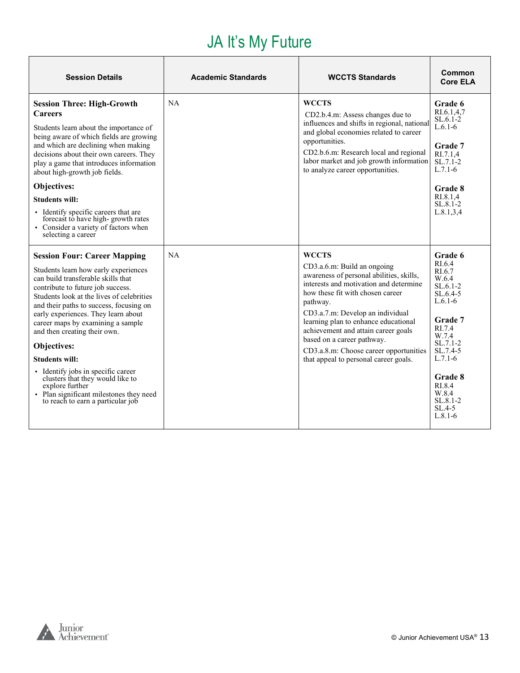#### JA It's My Future

| <b>Session Details</b>                                                                                                                                                                                                                                                                                                                                                                                                                                                                                                                                                          | <b>Academic Standards</b> | <b>WCCTS Standards</b>                                                                                                                                                                                                                                                                                                                                                                                         | Common<br><b>Core ELA</b>                                                                                                                                                                                                   |
|---------------------------------------------------------------------------------------------------------------------------------------------------------------------------------------------------------------------------------------------------------------------------------------------------------------------------------------------------------------------------------------------------------------------------------------------------------------------------------------------------------------------------------------------------------------------------------|---------------------------|----------------------------------------------------------------------------------------------------------------------------------------------------------------------------------------------------------------------------------------------------------------------------------------------------------------------------------------------------------------------------------------------------------------|-----------------------------------------------------------------------------------------------------------------------------------------------------------------------------------------------------------------------------|
| <b>Session Three: High-Growth</b><br><b>Careers</b><br>Students learn about the importance of<br>being aware of which fields are growing<br>and which are declining when making<br>decisions about their own careers. They<br>play a game that introduces information<br>about high-growth job fields.<br>Objectives:<br><b>Students will:</b><br>• Identify specific careers that are<br>forecast to have high-growth rates<br>• Consider a variety of factors when<br>selecting a career                                                                                      | NA                        | <b>WCCTS</b><br>CD2.b.4.m: Assess changes due to<br>influences and shifts in regional, national<br>and global economies related to career<br>opportunities.<br>CD2.b.6.m: Research local and regional<br>labor market and job growth information<br>to analyze career opportunities.                                                                                                                           | Grade 6<br>RI.6.1,4,7<br>$SL.6.1-2$<br>$L.6.1-6$<br>Grade 7<br>RI.7.1.4<br>$SL.7.1-2$<br>$L.7.1-6$<br>Grade 8<br>RI.8.1.4<br>$SL.8.1 - 2$<br>L.8.1, 3, 4                                                                    |
| <b>Session Four: Career Mapping</b><br>Students learn how early experiences<br>can build transferable skills that<br>contribute to future job success.<br>Students look at the lives of celebrities<br>and their paths to success, focusing on<br>early experiences. They learn about<br>career maps by examining a sample<br>and then creating their own.<br>Objectives:<br><b>Students will:</b><br>• Identify jobs in specific career<br>clusters that they would like to<br>explore further<br>• Plan significant milestones they need<br>to reach to earn a particular job | NA.                       | WCCTS<br>CD3.a.6.m: Build an ongoing<br>awareness of personal abilities, skills,<br>interests and motivation and determine<br>how these fit with chosen career<br>pathway.<br>CD3.a.7.m: Develop an individual<br>learning plan to enhance educational<br>achievement and attain career goals<br>based on a career pathway.<br>CD3.a.8.m: Choose career opportunities<br>that appeal to personal career goals. | Grade 6<br>RI.6.4<br>RI.6.7<br>W.6.4<br>$SL.6.1-2$<br>$SL.6.4-5$<br>$L.6.1-6$<br>Grade 7<br>RI.7.4<br>W.7.4<br>$SL.7.1-2$<br>$SL.7.4-5$<br>$L.7.1-6$<br><b>Grade 8</b><br>RL8.4<br>W.8.4<br>SL.8.1-2<br>SL.4-5<br>$L.8.1-6$ |

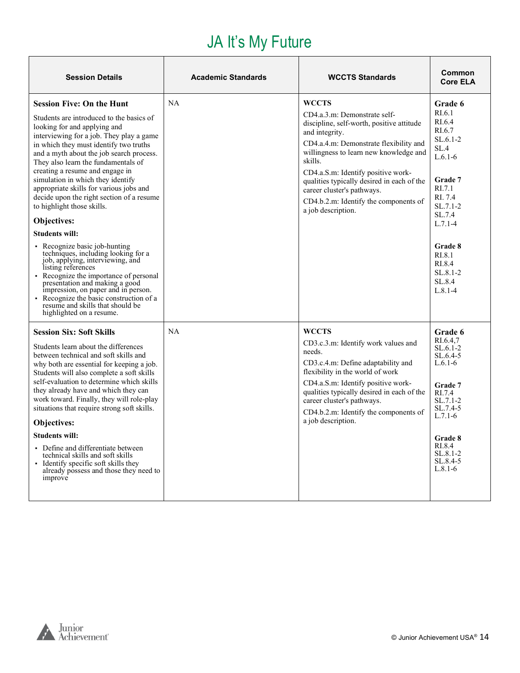#### JA It's My Future

| <b>Session Details</b>                                                                                                                                                                                                                                                                                                                                                                                                                                                                                                                                                                                                                                                                                                                                                                                                                                                                    | <b>Academic Standards</b> | <b>WCCTS Standards</b>                                                                                                                                                                                                                                                                                                                                                                      | Common<br><b>Core ELA</b>                                                                                                                                                                                             |
|-------------------------------------------------------------------------------------------------------------------------------------------------------------------------------------------------------------------------------------------------------------------------------------------------------------------------------------------------------------------------------------------------------------------------------------------------------------------------------------------------------------------------------------------------------------------------------------------------------------------------------------------------------------------------------------------------------------------------------------------------------------------------------------------------------------------------------------------------------------------------------------------|---------------------------|---------------------------------------------------------------------------------------------------------------------------------------------------------------------------------------------------------------------------------------------------------------------------------------------------------------------------------------------------------------------------------------------|-----------------------------------------------------------------------------------------------------------------------------------------------------------------------------------------------------------------------|
| <b>Session Five: On the Hunt</b><br>Students are introduced to the basics of<br>looking for and applying and<br>interviewing for a job. They play a game<br>in which they must identify two truths<br>and a myth about the job search process.<br>They also learn the fundamentals of<br>creating a resume and engage in<br>simulation in which they identify<br>appropriate skills for various jobs and<br>decide upon the right section of a resume<br>to highlight those skills.<br>Objectives:<br><b>Students will:</b><br>• Recognize basic job-hunting<br>techniques, including looking for a<br>job, applying, interviewing, and<br>listing references<br>• Recognize the importance of personal<br>presentation and making a good<br>impression, on paper and in person.<br>Recognize the basic construction of a<br>resume and skills that should be<br>highlighted on a resume. | <b>NA</b>                 | <b>WCCTS</b><br>CD4.a.3.m: Demonstrate self-<br>discipline, self-worth, positive attitude<br>and integrity.<br>CD4.a.4.m: Demonstrate flexibility and<br>willingness to learn new knowledge and<br>skills.<br>CD4.a.S.m: Identify positive work-<br>qualities typically desired in each of the<br>career cluster's pathways.<br>CD4.b.2.m: Identify the components of<br>a job description. | Grade 6<br>RI.6.1<br>RI.6.4<br>RI.6.7<br>$SL.6.1-2$<br>SL.4<br>$L.6.1-6$<br>Grade 7<br>RI.7.1<br>RI. 7.4<br>$SL.7.1-2$<br>SL.7.4<br>$L.7.1 - 4$<br>Grade 8<br>RI.8.1<br>RI.8.4<br>$SL.8.1-2$<br>SL.8.4<br>$L.8.1 - 4$ |
| Session Six: Soft Skills<br>Students learn about the differences<br>between technical and soft skills and<br>why both are essential for keeping a job.<br>Students will also complete a soft skills<br>self-evaluation to determine which skills<br>they already have and which they can<br>work toward. Finally, they will role-play<br>situations that require strong soft skills.<br><b>Objectives:</b><br><b>Students will:</b><br>• Define and differentiate between<br>technical skills and soft skills<br>• Identify specific soft skills they<br>already possess and those they need to<br>improve                                                                                                                                                                                                                                                                                | NA                        | <b>WCCTS</b><br>CD3.c.3.m: Identify work values and<br>needs.<br>CD3.c.4.m: Define adaptability and<br>flexibility in the world of work<br>CD4.a.S.m: Identify positive work-<br>qualities typically desired in each of the<br>career cluster's pathways.<br>CD4.b.2.m: Identify the components of<br>a job description.                                                                    | Grade 6<br>RI.6.4.7<br>$SL.6.1-2$<br>$SL.6.4-5$<br>$L.6.1-6$<br>Grade 7<br>RI.7.4<br>$SL.7.1-2$<br>SL.7.4-5<br>$L.7.1-6$<br>Grade 8<br>RI.8.4<br>$SL.8.1 - 2$<br>$SL.8.4-5$<br>$L.8.1-6$                              |

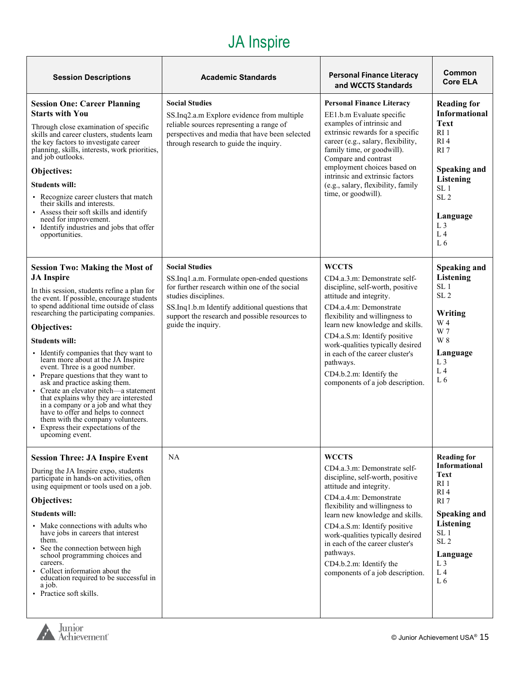| <b>Session Descriptions</b>                                                                                                                                                                                                                                                                                                                                                                                                                                                                                                                                                                                                                                                                                                                        | <b>Academic Standards</b>                                                                                                                                                                                                                                               | <b>Personal Finance Literacy</b><br>and WCCTS Standards                                                                                                                                                                                                                                                                                                                                       | Common<br><b>Core ELA</b>                                                                                                                                                                                                                                      |
|----------------------------------------------------------------------------------------------------------------------------------------------------------------------------------------------------------------------------------------------------------------------------------------------------------------------------------------------------------------------------------------------------------------------------------------------------------------------------------------------------------------------------------------------------------------------------------------------------------------------------------------------------------------------------------------------------------------------------------------------------|-------------------------------------------------------------------------------------------------------------------------------------------------------------------------------------------------------------------------------------------------------------------------|-----------------------------------------------------------------------------------------------------------------------------------------------------------------------------------------------------------------------------------------------------------------------------------------------------------------------------------------------------------------------------------------------|----------------------------------------------------------------------------------------------------------------------------------------------------------------------------------------------------------------------------------------------------------------|
| <b>Session One: Career Planning</b><br><b>Starts with You</b><br>Through close examination of specific<br>skills and career clusters, students learn<br>the key factors to investigate career<br>planning, skills, interests, work priorities,<br>and job outlooks.<br>Objectives:<br><b>Students will:</b><br>• Recognize career clusters that match<br>their skills and interests.<br>Assess their soft skills and identify<br>need for improvement.<br>· Identify industries and jobs that offer<br>opportunities.                                                                                                                                                                                                                              | <b>Social Studies</b><br>SS.Inq2.a.m Explore evidence from multiple<br>reliable sources representing a range of<br>perspectives and media that have been selected<br>through research to guide the inquiry.                                                             | <b>Personal Finance Literacy</b><br>EE1.b.m Evaluate specific<br>examples of intrinsic and<br>extrinsic rewards for a specific<br>career (e.g., salary, flexibility,<br>family time, or goodwill).<br>Compare and contrast<br>employment choices based on<br>intrinsic and extrinsic factors<br>(e.g., salary, flexibility, family<br>time, or goodwill).                                     | <b>Reading for</b><br><b>Informational</b><br><b>Text</b><br>RI <sub>1</sub><br>RI <sub>4</sub><br>RI <sub>7</sub><br><b>Speaking and</b><br>Listening<br>SL <sub>1</sub><br>SL <sub>2</sub><br>Language<br>L <sub>3</sub><br>L <sub>4</sub><br>L <sub>6</sub> |
| <b>Session Two: Making the Most of</b><br><b>JA</b> Inspire<br>In this session, students refine a plan for<br>the event. If possible, encourage students<br>to spend additional time outside of class<br>researching the participating companies.<br>Objectives:<br><b>Students will:</b><br>• Identify companies that they want to<br>learn more about at the JA Inspire<br>event. Three is a good number.<br>• Prepare questions that they want to<br>ask and practice asking them.<br>Create an elevator pitch—a statement<br>that explains why they are interested<br>in a company or a job and what they<br>have to offer and helps to connect<br>them with the company volunteers.<br>• Express their expectations of the<br>upcoming event. | <b>Social Studies</b><br>SS.Inq1.a.m. Formulate open-ended questions<br>for further research within one of the social<br>studies disciplines.<br>SS.Inq1.b.m Identify additional questions that<br>support the research and possible resources to<br>guide the inquiry. | <b>WCCTS</b><br>CD4.a.3.m: Demonstrate self-<br>discipline, self-worth, positive<br>attitude and integrity.<br>CD4.a.4.m: Demonstrate<br>flexibility and willingness to<br>learn new knowledge and skills.<br>CD4.a.S.m: Identify positive<br>work-qualities typically desired<br>in each of the career cluster's<br>pathways.<br>CD4.b.2.m: Identify the<br>components of a job description. | <b>Speaking and</b><br><b>Listening</b><br>SL <sub>1</sub><br>SL <sub>2</sub><br>Writing<br>W 4<br>W 7<br>W 8<br>Language<br>L <sub>3</sub><br>L <sub>4</sub><br>L <sub>6</sub>                                                                                |
| <b>Session Three: JA Inspire Event</b><br>During the JA Inspire expo, students<br>participate in hands-on activities, often<br>using equipment or tools used on a job.<br>Objectives:<br><b>Students will:</b><br>• Make connections with adults who<br>have jobs in careers that interest<br>them.<br>• See the connection between high<br>school programming choices and<br>careers.<br>• Collect information about the<br>education required to be successful in<br>a job.<br>• Practice soft skills.                                                                                                                                                                                                                                           | <b>NA</b>                                                                                                                                                                                                                                                               | <b>WCCTS</b><br>CD4.a.3.m: Demonstrate self-<br>discipline, self-worth, positive<br>attitude and integrity.<br>CD4.a.4.m: Demonstrate<br>flexibility and willingness to<br>learn new knowledge and skills.<br>CD4.a.S.m: Identify positive<br>work-qualities typically desired<br>in each of the career cluster's<br>pathways.<br>CD4.b.2.m: Identify the<br>components of a job description. | <b>Reading for</b><br>Informational<br>Text<br>RI <sub>1</sub><br>RI4<br>RI7<br>Speaking and<br>Listening<br>SL <sub>1</sub><br>SL <sub>2</sub><br>Language<br>L <sub>3</sub><br>L <sub>4</sub><br>L6                                                          |

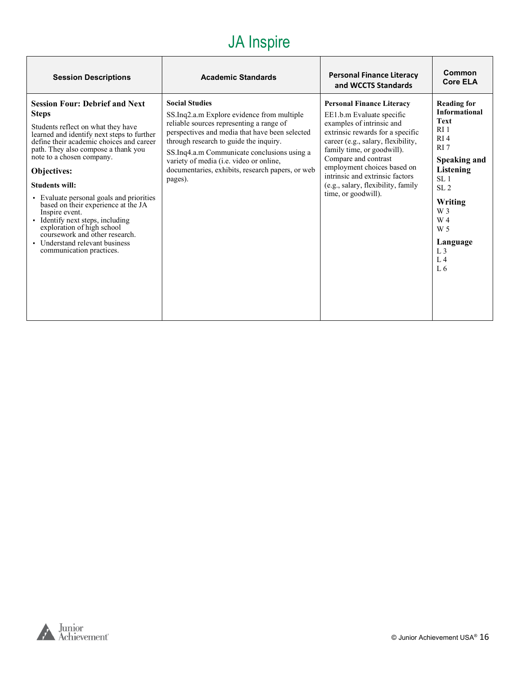| <b>Session Descriptions</b>                                                                                                                                                                                                                                                                                                                                                                                                                                                                                                                                              | <b>Academic Standards</b>                                                                                                                                                                                                                                                                                                                                            | <b>Personal Finance Literacy</b><br>and WCCTS Standards                                                                                                                                                                                                                                                                                                   | Common<br><b>Core ELA</b>                                                                                                                                                                                                                                                              |
|--------------------------------------------------------------------------------------------------------------------------------------------------------------------------------------------------------------------------------------------------------------------------------------------------------------------------------------------------------------------------------------------------------------------------------------------------------------------------------------------------------------------------------------------------------------------------|----------------------------------------------------------------------------------------------------------------------------------------------------------------------------------------------------------------------------------------------------------------------------------------------------------------------------------------------------------------------|-----------------------------------------------------------------------------------------------------------------------------------------------------------------------------------------------------------------------------------------------------------------------------------------------------------------------------------------------------------|----------------------------------------------------------------------------------------------------------------------------------------------------------------------------------------------------------------------------------------------------------------------------------------|
| <b>Session Four: Debrief and Next</b><br><b>Steps</b><br>Students reflect on what they have<br>learned and identify next steps to further<br>define their academic choices and career<br>path. They also compose a thank you<br>note to a chosen company.<br>Objectives:<br><b>Students will:</b><br>· Evaluate personal goals and priorities<br>based on their experience at the JA<br>Inspire event.<br>· Identify next steps, including<br>exploration of high school<br>coursework and other research.<br>• Understand relevant business<br>communication practices. | <b>Social Studies</b><br>SS.Inq2.a.m Explore evidence from multiple<br>reliable sources representing a range of<br>perspectives and media that have been selected<br>through research to guide the inquiry.<br>SS.Inq4.a.m Communicate conclusions using a<br>variety of media (i.e. video or online,<br>documentaries, exhibits, research papers, or web<br>pages). | <b>Personal Finance Literacy</b><br>EE1.b.m Evaluate specific<br>examples of intrinsic and<br>extrinsic rewards for a specific<br>career (e.g., salary, flexibility,<br>family time, or goodwill).<br>Compare and contrast<br>employment choices based on<br>intrinsic and extrinsic factors<br>(e.g., salary, flexibility, family<br>time, or goodwill). | <b>Reading for</b><br><b>Informational</b><br><b>Text</b><br>RI <sub>1</sub><br>RI <sub>4</sub><br>RI <sub>7</sub><br>Speaking and<br>Listening<br>SL <sub>1</sub><br>SL <sub>2</sub><br>Writing<br>W 3<br>W 4<br>W <sub>5</sub><br>Language<br>L <sub>3</sub><br>L <sub>4</sub><br>L6 |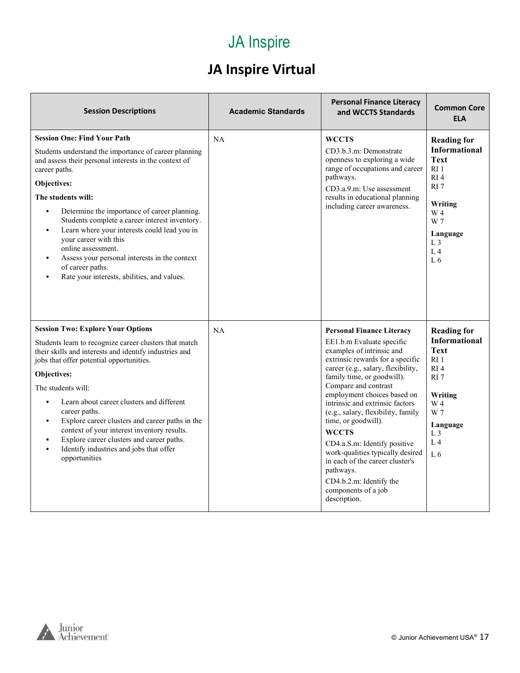#### **JA Inspire Virtual**

| <b>Session Descriptions</b>                                                                                                                                                                                                                                                                                                                                                                                                                                                                                                                                         | <b>Academic Standards</b> | <b>Personal Finance Literacy</b><br>and WCCTS Standards                                                                                                                                                                                                                                                                                                                                                                                                                                                                                                         | <b>Common Core</b><br><b>ELA</b>                                                                                                                                                                    |
|---------------------------------------------------------------------------------------------------------------------------------------------------------------------------------------------------------------------------------------------------------------------------------------------------------------------------------------------------------------------------------------------------------------------------------------------------------------------------------------------------------------------------------------------------------------------|---------------------------|-----------------------------------------------------------------------------------------------------------------------------------------------------------------------------------------------------------------------------------------------------------------------------------------------------------------------------------------------------------------------------------------------------------------------------------------------------------------------------------------------------------------------------------------------------------------|-----------------------------------------------------------------------------------------------------------------------------------------------------------------------------------------------------|
| <b>Session One: Find Your Path</b><br>Students understand the importance of career planning<br>and assess their personal interests in the context of<br>career paths.<br>Objectives:<br>The students will:<br>Determine the importance of career planning.<br>Students complete a career interest inventory.<br>Learn where your interests could lead you in<br>$\blacksquare$<br>your career with this<br>online assessment.<br>Assess your personal interests in the context<br>$\blacksquare$<br>of career paths.<br>Rate your interests, abilities, and values. | <b>NA</b>                 | <b>WCCTS</b><br>CD3.b.3.m: Demonstrate<br>openness to exploring a wide<br>range of occupations and career<br>pathways.<br>CD3.a.9.m: Use assessment<br>results in educational planning<br>including career awareness.                                                                                                                                                                                                                                                                                                                                           | <b>Reading for</b><br><b>Informational</b><br><b>Text</b><br>R <sub>I</sub> 1<br>RI <sub>4</sub><br>RI 7<br>Writing<br>W 4<br>W 7<br>Language<br>L <sub>3</sub><br>L <sub>4</sub><br>L <sub>6</sub> |
| <b>Session Two: Explore Your Options</b><br>Students learn to recognize career clusters that match<br>their skills and interests and identify industries and<br>jobs that offer potential opportunities.<br>Objectives:<br>The students will:<br>Learn about career clusters and different<br>$\blacksquare$<br>career paths.<br>Explore career clusters and career paths in the<br>٠<br>context of your interest inventory results.<br>Explore career clusters and career paths.<br>Identify industries and jobs that offer<br>$\blacksquare$<br>opportunities     | NA                        | <b>Personal Finance Literacy</b><br>EE1.b.m Evaluate specific<br>examples of intrinsic and<br>extrinsic rewards for a specific<br>career (e.g., salary, flexibility,<br>family time, or goodwill).<br>Compare and contrast<br>employment choices based on<br>intrinsic and extrinsic factors<br>(e.g., salary, flexibility, family<br>time, or goodwill).<br><b>WCCTS</b><br>CD4.a.S.m: Identify positive<br>work-qualities typically desired<br>in each of the career cluster's<br>pathways.<br>CD4.b.2.m: Identify the<br>components of a job<br>description. | <b>Reading for</b><br><b>Informational</b><br><b>Text</b><br>R11<br>RI <sub>4</sub><br>RI 7<br>Writing<br>W 4<br>W 7<br>Language<br>L <sub>3</sub><br>L <sub>4</sub><br>L <sub>6</sub>              |

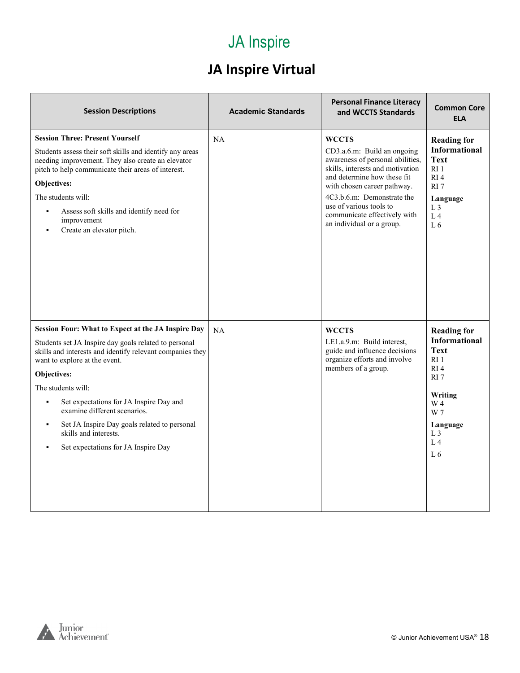#### **JA Inspire Virtual**

| <b>Session Descriptions</b>                                                                                                                                                                                                                                                                                                                                                                                                               | <b>Academic Standards</b> | <b>Personal Finance Literacy</b><br>and WCCTS Standards                                                                                                                                                                                                                                                 | <b>Common Core</b><br><b>ELA</b>                                                                                                                                            |
|-------------------------------------------------------------------------------------------------------------------------------------------------------------------------------------------------------------------------------------------------------------------------------------------------------------------------------------------------------------------------------------------------------------------------------------------|---------------------------|---------------------------------------------------------------------------------------------------------------------------------------------------------------------------------------------------------------------------------------------------------------------------------------------------------|-----------------------------------------------------------------------------------------------------------------------------------------------------------------------------|
| <b>Session Three: Present Yourself</b><br>Students assess their soft skills and identify any areas<br>needing improvement. They also create an elevator<br>pitch to help communicate their areas of interest.<br>Objectives:<br>The students will:<br>Assess soft skills and identify need for<br>improvement<br>Create an elevator pitch.                                                                                                | <b>NA</b>                 | <b>WCCTS</b><br>CD3.a.6.m: Build an ongoing<br>awareness of personal abilities,<br>skills, interests and motivation<br>and determine how these fit<br>with chosen career pathway.<br>4C3.b.6.m: Demonstrate the<br>use of various tools to<br>communicate effectively with<br>an individual or a group. | <b>Reading for</b><br><b>Informational</b><br><b>Text</b><br>RI 1<br>RI <sub>4</sub><br>RI 7<br>Language<br>L <sub>3</sub><br>L <sub>4</sub><br>L <sub>6</sub>              |
| Session Four: What to Expect at the JA Inspire Day<br>Students set JA Inspire day goals related to personal<br>skills and interests and identify relevant companies they<br>want to explore at the event.<br>Objectives:<br>The students will:<br>Set expectations for JA Inspire Day and<br>examine different scenarios.<br>Set JA Inspire Day goals related to personal<br>skills and interests.<br>Set expectations for JA Inspire Day | <b>NA</b>                 | <b>WCCTS</b><br>LE1.a.9.m: Build interest.<br>guide and influence decisions<br>organize efforts and involve<br>members of a group.                                                                                                                                                                      | <b>Reading for</b><br><b>Informational</b><br><b>Text</b><br>RI 1<br>RI <sub>4</sub><br>RI 7<br>Writing<br>W 4<br>W 7<br>Language<br>L <sub>3</sub><br>L <sub>4</sub><br>L6 |

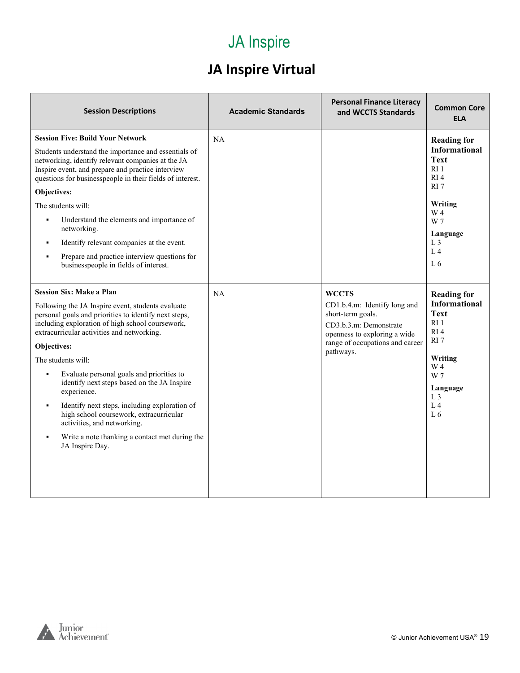#### **JA Inspire Virtual**

| <b>Session Descriptions</b>                                                                                                                                                                                                                                                                                                                                                                                                                                                                                                                                                                                                                           | <b>Academic Standards</b> | <b>Personal Finance Literacy</b><br>and WCCTS Standards                                                                                                                     | <b>Common Core</b><br><b>ELA</b>                                                                                                                                                                   |
|-------------------------------------------------------------------------------------------------------------------------------------------------------------------------------------------------------------------------------------------------------------------------------------------------------------------------------------------------------------------------------------------------------------------------------------------------------------------------------------------------------------------------------------------------------------------------------------------------------------------------------------------------------|---------------------------|-----------------------------------------------------------------------------------------------------------------------------------------------------------------------------|----------------------------------------------------------------------------------------------------------------------------------------------------------------------------------------------------|
| <b>Session Five: Build Your Network</b><br>Students understand the importance and essentials of<br>networking, identify relevant companies at the JA<br>Inspire event, and prepare and practice interview<br>questions for businesspeople in their fields of interest.<br><b>Objectives:</b><br>The students will:<br>Understand the elements and importance of<br>$\blacksquare$<br>networking.<br>Identify relevant companies at the event.<br>Prepare and practice interview questions for<br>businesspeople in fields of interest.                                                                                                                | NA                        |                                                                                                                                                                             | <b>Reading for</b><br><b>Informational</b><br>Text<br>RI <sub>1</sub><br>RI <sub>4</sub><br>RI <sub>7</sub><br>Writing<br>W 4<br>W 7<br>Language<br>L <sub>3</sub><br>$L_4$<br>L <sub>6</sub>      |
| <b>Session Six: Make a Plan</b><br>Following the JA Inspire event, students evaluate<br>personal goals and priorities to identify next steps,<br>including exploration of high school coursework,<br>extracurricular activities and networking.<br>Objectives:<br>The students will:<br>Evaluate personal goals and priorities to<br>$\blacksquare$<br>identify next steps based on the JA Inspire<br>experience.<br>Identify next steps, including exploration of<br>$\blacksquare$<br>high school coursework, extracurricular<br>activities, and networking.<br>Write a note thanking a contact met during the<br>$\blacksquare$<br>JA Inspire Day. | NA                        | <b>WCCTS</b><br>CD1.b.4.m: Identify long and<br>short-term goals.<br>CD3.b.3.m: Demonstrate<br>openness to exploring a wide<br>range of occupations and career<br>pathways. | <b>Reading for</b><br><b>Informational</b><br><b>Text</b><br>RI <sub>1</sub><br>RI <sub>4</sub><br>RI 7<br>Writing<br>W 4<br>W 7<br>Language<br>L <sub>3</sub><br>L <sub>4</sub><br>L <sub>6</sub> |

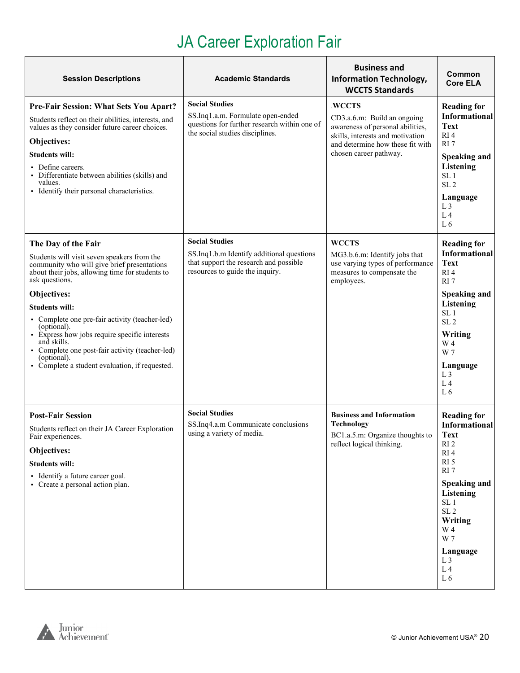## JA Career Exploration Fair

<span id="page-19-0"></span>

| <b>Session Descriptions</b>                                                                                                                                                                                                                                                                                                                                                                                                                                                         | <b>Academic Standards</b>                                                                                                                       | <b>Business and</b><br><b>Information Technology,</b><br><b>WCCTS Standards</b>                                                                                             | Common<br><b>Core ELA</b>                                                                                                                                                                                                                                                         |
|-------------------------------------------------------------------------------------------------------------------------------------------------------------------------------------------------------------------------------------------------------------------------------------------------------------------------------------------------------------------------------------------------------------------------------------------------------------------------------------|-------------------------------------------------------------------------------------------------------------------------------------------------|-----------------------------------------------------------------------------------------------------------------------------------------------------------------------------|-----------------------------------------------------------------------------------------------------------------------------------------------------------------------------------------------------------------------------------------------------------------------------------|
| Pre-Fair Session: What Sets You Apart?<br>Students reflect on their abilities, interests, and<br>values as they consider future career choices.<br>Objectives:<br><b>Students will:</b><br>• Define careers.<br>• Differentiate between abilities (skills) and<br>values.<br>• Identify their personal characteristics.                                                                                                                                                             | <b>Social Studies</b><br>SS.Inq1.a.m. Formulate open-ended<br>questions for further research within one of<br>the social studies disciplines.   | .WCCTS<br>CD3.a.6.m: Build an ongoing<br>awareness of personal abilities,<br>skills, interests and motivation<br>and determine how these fit with<br>chosen career pathway. | <b>Reading for</b><br><b>Informational</b><br>Text<br>RI <sub>4</sub><br>RI <sub>7</sub><br><b>Speaking and</b><br>Listening<br>SL <sub>1</sub><br>SL <sub>2</sub><br>Language<br>L <sub>3</sub><br>L <sub>4</sub><br>L <sub>6</sub>                                              |
| The Day of the Fair<br>Students will visit seven speakers from the<br>community who will give brief presentations<br>about their jobs, allowing time for students to<br>ask questions.<br>Objectives:<br><b>Students will:</b><br>• Complete one pre-fair activity (teacher-led)<br>(optional).<br>· Express how jobs require specific interests<br>and skills.<br>• Complete one post-fair activity (teacher-led)<br>(optional).<br>• Complete a student evaluation, if requested. | <b>Social Studies</b><br>SS.Inq1.b.m Identify additional questions<br>that support the research and possible<br>resources to guide the inquiry. | <b>WCCTS</b><br>MG3.b.6.m: Identify jobs that<br>use varying types of performance<br>measures to compensate the<br>employees.                                               | <b>Reading for</b><br><b>Informational</b><br><b>Text</b><br>RI4<br>RI <sub>7</sub><br>Speaking and<br>Listening<br>SL <sub>1</sub><br>SL <sub>2</sub><br>Writing<br>W 4<br>W 7<br>Language<br>L <sub>3</sub><br>L <sub>4</sub><br>L <sub>6</sub>                                 |
| <b>Post-Fair Session</b><br>Students reflect on their JA Career Exploration<br>Fair experiences.<br>Objectives:<br><b>Students will:</b><br>• Identify a future career goal.<br>• Create a personal action plan.                                                                                                                                                                                                                                                                    | <b>Social Studies</b><br>SS.Inq4.a.m Communicate conclusions<br>using a variety of media.                                                       | <b>Business and Information</b><br>Technology<br>BC1.a.5.m: Organize thoughts to<br>reflect logical thinking.                                                               | <b>Reading for</b><br><b>Informational</b><br><b>Text</b><br>RI <sub>2</sub><br>RI4<br>RI <sub>5</sub><br>RI7<br><b>Speaking and</b><br>Listening<br>SL <sub>1</sub><br>SL <sub>2</sub><br>Writing<br>W 4<br>W 7<br>Language<br>L <sub>3</sub><br>L <sub>4</sub><br>$\;$ L $\;$ 6 |

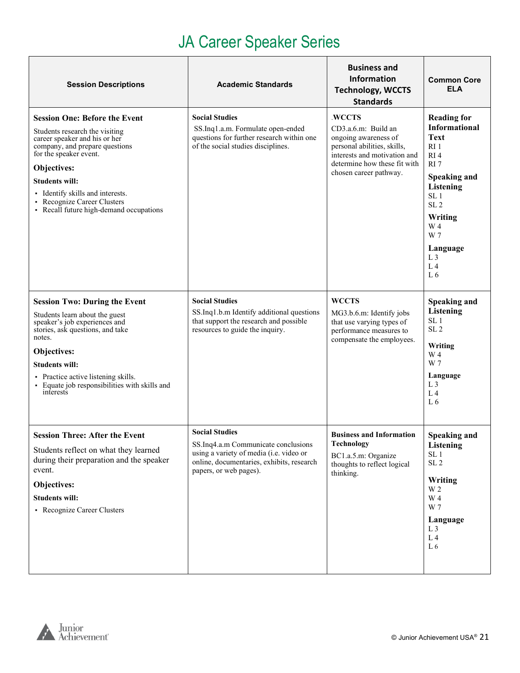### JA Career Speaker Series

<span id="page-20-0"></span>

| <b>Session Descriptions</b>                                                                                                                                                                                                                                                                                             | <b>Academic Standards</b>                                                                                                                                                      | <b>Business and</b><br>Information<br><b>Technology, WCCTS</b><br><b>Standards</b>                                                                                             | <b>Common Core</b><br><b>ELA</b>                                                                                                                                                                                                                                |
|-------------------------------------------------------------------------------------------------------------------------------------------------------------------------------------------------------------------------------------------------------------------------------------------------------------------------|--------------------------------------------------------------------------------------------------------------------------------------------------------------------------------|--------------------------------------------------------------------------------------------------------------------------------------------------------------------------------|-----------------------------------------------------------------------------------------------------------------------------------------------------------------------------------------------------------------------------------------------------------------|
| <b>Session One: Before the Event</b><br>Students research the visiting<br>career speaker and his or her<br>company, and prepare questions<br>for the speaker event.<br>Objectives:<br><b>Students will:</b><br>• Identify skills and interests.<br>Recognize Career Clusters<br>• Recall future high-demand occupations | <b>Social Studies</b><br>SS.Inq1.a.m. Formulate open-ended<br>questions for further research within one<br>of the social studies disciplines.                                  | .WCCTS<br>CD3.a.6.m: Build an<br>ongoing awareness of<br>personal abilities, skills,<br>interests and motivation and<br>determine how these fit with<br>chosen career pathway. | <b>Reading for</b><br><b>Informational</b><br>Text<br>RI <sub>1</sub><br>RI <sub>4</sub><br>RI7<br><b>Speaking and</b><br><b>Listening</b><br>SL <sub>1</sub><br>SL <sub>2</sub><br>Writing<br>W 4<br>W 7<br>Language<br>L <sub>3</sub><br>L <sub>4</sub><br>L6 |
| <b>Session Two: During the Event</b><br>Students learn about the guest<br>speaker's job experiences and<br>stories, ask questions, and take<br>notes.<br>Objectives:<br><b>Students will:</b><br>• Practice active listening skills.<br>Equate job responsibilities with skills and<br>interests                        | <b>Social Studies</b><br>SS.Inq1.b.m Identify additional questions<br>that support the research and possible<br>resources to guide the inquiry.                                | <b>WCCTS</b><br>MG3.b.6.m: Identify jobs<br>that use varying types of<br>performance measures to<br>compensate the employees.                                                  | <b>Speaking and</b><br><b>Listening</b><br>SL <sub>1</sub><br>SL <sub>2</sub><br>Writing<br>W 4<br>W 7<br>Language<br>L <sub>3</sub><br>L <sub>4</sub><br>L6                                                                                                    |
| <b>Session Three: After the Event</b><br>Students reflect on what they learned<br>during their preparation and the speaker<br>event.<br>Objectives:<br><b>Students will:</b><br>• Recognize Career Clusters                                                                                                             | <b>Social Studies</b><br>SS.Inq4.a.m Communicate conclusions<br>using a variety of media (i.e. video or<br>online, documentaries, exhibits, research<br>papers, or web pages). | <b>Business and Information</b><br><b>Technology</b><br>BC1.a.5.m: Organize<br>thoughts to reflect logical<br>thinking.                                                        | <b>Speaking and</b><br>Listening<br>SL <sub>1</sub><br>$\ensuremath{\mathrm{SL}}\,2$<br>Writing<br>W 2<br>W 4<br>W 7<br>Language<br>L <sub>3</sub><br>L <sub>4</sub><br>L <sub>6</sub>                                                                          |

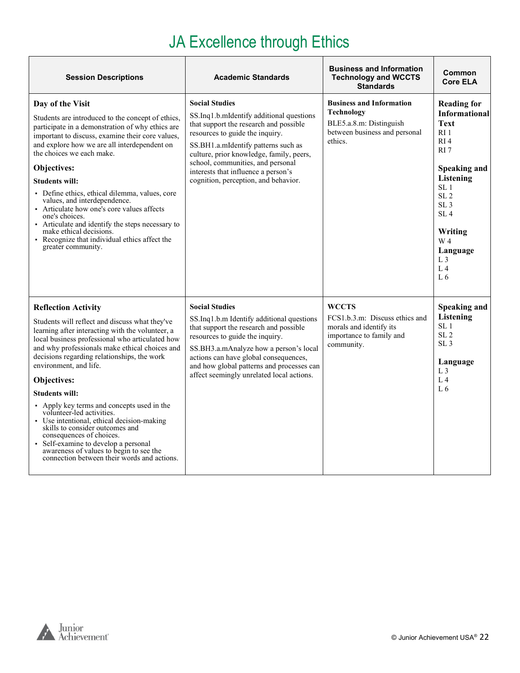# JA Excellence through Ethics

| <b>Session Descriptions</b>                                                                                                                                                                                                                                                                                                                                                                                                                                                                                                                                                                                                                                                    | <b>Academic Standards</b>                                                                                                                                                                                                                                                                                                                             | <b>Business and Information</b><br><b>Technology and WCCTS</b><br><b>Standards</b>                                   | <b>Common</b><br><b>Core ELA</b>                                                                                                                                                                                                                                                                   |
|--------------------------------------------------------------------------------------------------------------------------------------------------------------------------------------------------------------------------------------------------------------------------------------------------------------------------------------------------------------------------------------------------------------------------------------------------------------------------------------------------------------------------------------------------------------------------------------------------------------------------------------------------------------------------------|-------------------------------------------------------------------------------------------------------------------------------------------------------------------------------------------------------------------------------------------------------------------------------------------------------------------------------------------------------|----------------------------------------------------------------------------------------------------------------------|----------------------------------------------------------------------------------------------------------------------------------------------------------------------------------------------------------------------------------------------------------------------------------------------------|
| Day of the Visit<br>Students are introduced to the concept of ethics,<br>participate in a demonstration of why ethics are<br>important to discuss, examine their core values,<br>and explore how we are all interdependent on<br>the choices we each make.<br>Objectives:<br><b>Students will:</b><br>• Define ethics, ethical dilemma, values, core<br>values, and interdependence.<br>• Articulate how one's core values affects<br>one's choices.<br>• Articulate and identify the steps necessary to<br>make ethical decisions.<br>Recognize that individual ethics affect the<br>greater community.                                                                       | <b>Social Studies</b><br>SS.Inq1.b.mIdentify additional questions<br>that support the research and possible<br>resources to guide the inquiry.<br>SS.BH1.a.mIdentify patterns such as<br>culture, prior knowledge, family, peers,<br>school, communities, and personal<br>interests that influence a person's<br>cognition, perception, and behavior. | <b>Business and Information</b><br>Technology<br>BLE5.a.8.m: Distinguish<br>between business and personal<br>ethics. | <b>Reading for</b><br><b>Informational</b><br><b>Text</b><br>$RI$ 1<br>RI <sub>4</sub><br>RI <sub>7</sub><br><b>Speaking and</b><br>Listening<br>SL <sub>1</sub><br>SL <sub>2</sub><br>SL <sub>3</sub><br>SI.4<br>Writing<br>W 4<br>Language<br>L <sub>3</sub><br>L <sub>4</sub><br>L <sub>6</sub> |
| <b>Reflection Activity</b><br>Students will reflect and discuss what they've<br>learning after interacting with the volunteer, a<br>local business professional who articulated how<br>and why professionals make ethical choices and<br>decisions regarding relationships, the work<br>environment, and life.<br>Objectives:<br><b>Students will:</b><br>• Apply key terms and concepts used in the<br>volunteer-led activities.<br>Use intentional, ethical decision-making<br>skills to consider outcomes and<br>consequences of choices.<br>· Self-examine to develop a personal<br>awareness of values to begin to see the<br>connection between their words and actions. | <b>Social Studies</b><br>SS.Ing1.b.m Identify additional questions<br>that support the research and possible<br>resources to guide the inquiry.<br>SS.BH3.a.mAnalyze how a person's local<br>actions can have global consequences,<br>and how global patterns and processes can<br>affect seemingly unrelated local actions.                          | <b>WCCTS</b><br>FCS1.b.3.m: Discuss ethics and<br>morals and identify its<br>importance to family and<br>community.  | <b>Speaking and</b><br><b>Listening</b><br>SL <sub>1</sub><br>SL <sub>2</sub><br>SL <sub>3</sub><br>Language<br>L <sub>3</sub><br>L <sub>4</sub><br>L <sub>6</sub>                                                                                                                                 |

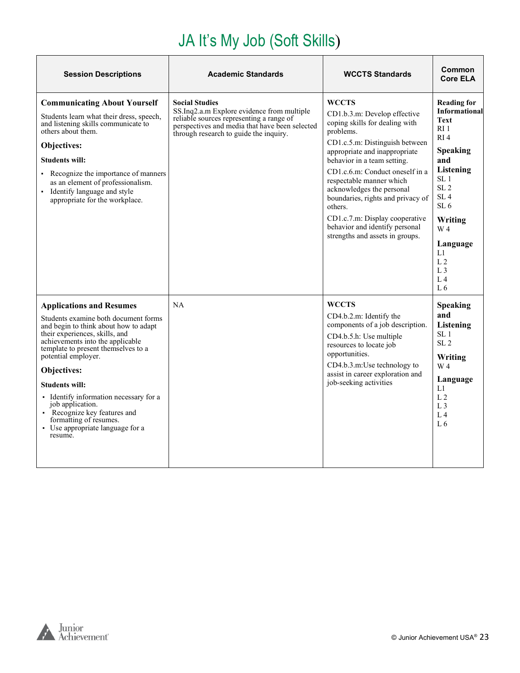#### JA It's My Job (Soft Skills)

<span id="page-22-0"></span>

| <b>Session Descriptions</b>                                                                                                                                                                                                                                                                                                                                                                                                                                         | <b>Academic Standards</b>                                                                                                                                                                                   | <b>WCCTS Standards</b>                                                                                                                                                                                                                                                                                                                                                                                                                           | Common<br><b>Core ELA</b>                                                                                                                                                                                                                                                                                           |
|---------------------------------------------------------------------------------------------------------------------------------------------------------------------------------------------------------------------------------------------------------------------------------------------------------------------------------------------------------------------------------------------------------------------------------------------------------------------|-------------------------------------------------------------------------------------------------------------------------------------------------------------------------------------------------------------|--------------------------------------------------------------------------------------------------------------------------------------------------------------------------------------------------------------------------------------------------------------------------------------------------------------------------------------------------------------------------------------------------------------------------------------------------|---------------------------------------------------------------------------------------------------------------------------------------------------------------------------------------------------------------------------------------------------------------------------------------------------------------------|
| <b>Communicating About Yourself</b><br>Students learn what their dress, speech,<br>and listening skills communicate to<br>others about them.<br>Objectives:<br><b>Students will:</b><br>• Recognize the importance of manners<br>as an element of professionalism.<br>• Identify language and style<br>appropriate for the workplace.                                                                                                                               | <b>Social Studies</b><br>SS.Inq2.a.m Explore evidence from multiple<br>reliable sources representing a range of<br>perspectives and media that have been selected<br>through research to guide the inquiry. | <b>WCCTS</b><br>CD1.b.3.m: Develop effective<br>coping skills for dealing with<br>problems.<br>CD1.c.5.m: Distinguish between<br>appropriate and inappropriate<br>behavior in a team setting.<br>CD1.c.6.m: Conduct oneself in a<br>respectable manner which<br>acknowledges the personal<br>boundaries, rights and privacy of<br>others.<br>CD1.c.7.m: Display cooperative<br>behavior and identify personal<br>strengths and assets in groups. | <b>Reading for</b><br><b>Informational</b><br><b>Text</b><br>RI 1<br>RI <sub>4</sub><br><b>Speaking</b><br>and<br>Listening<br>SL <sub>1</sub><br>SL <sub>2</sub><br>SL <sub>4</sub><br>SL <sub>6</sub><br>Writing<br>W 4<br>Language<br>L1<br>L <sub>2</sub><br>L <sub>3</sub><br>L <sub>4</sub><br>L <sub>6</sub> |
| <b>Applications and Resumes</b><br>Students examine both document forms<br>and begin to think about how to adapt<br>their experiences, skills, and<br>achievements into the applicable<br>template to present themselves to a<br>potential employer.<br>Objectives:<br><b>Students will:</b><br>• Identify information necessary for a<br>job application.<br>• Recognize key features and<br>formatting of resumes.<br>• Use appropriate language for a<br>resume. | NA                                                                                                                                                                                                          | <b>WCCTS</b><br>CD4.b.2.m: Identify the<br>components of a job description.<br>CD4.b.5.h: Use multiple<br>resources to locate job<br>opportunities.<br>CD4.b.3.m:Use technology to<br>assist in career exploration and<br>job-seeking activities                                                                                                                                                                                                 | <b>Speaking</b><br>and<br>Listening<br>SL <sub>1</sub><br>SL <sub>2</sub><br>Writing<br>W 4<br>Language<br>L1<br>L <sub>2</sub><br>L <sub>3</sub><br>L <sub>4</sub><br>L <sub>6</sub>                                                                                                                               |

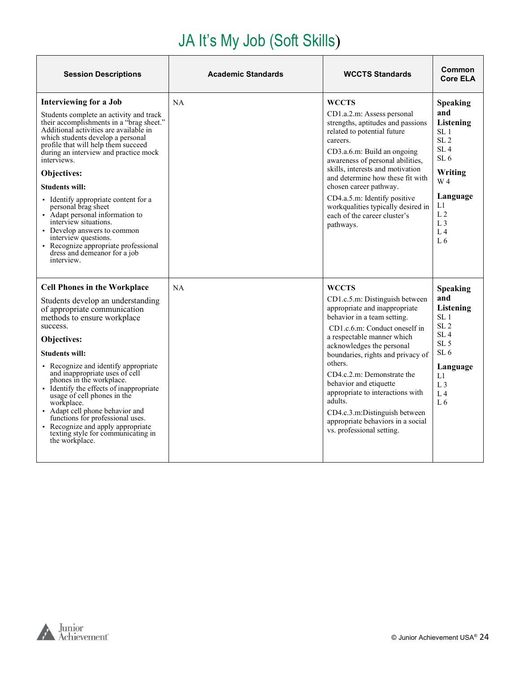### JA It's My Job (Soft Skills)

| <b>Session Descriptions</b>                                                                                                                                                                                                                                                                                                                                                                                                                                                                                                                                                                                        | <b>Academic Standards</b> | <b>WCCTS Standards</b>                                                                                                                                                                                                                                                                                                                                                                                                                                               | Common<br><b>Core ELA</b>                                                                                                                                                                                                                     |
|--------------------------------------------------------------------------------------------------------------------------------------------------------------------------------------------------------------------------------------------------------------------------------------------------------------------------------------------------------------------------------------------------------------------------------------------------------------------------------------------------------------------------------------------------------------------------------------------------------------------|---------------------------|----------------------------------------------------------------------------------------------------------------------------------------------------------------------------------------------------------------------------------------------------------------------------------------------------------------------------------------------------------------------------------------------------------------------------------------------------------------------|-----------------------------------------------------------------------------------------------------------------------------------------------------------------------------------------------------------------------------------------------|
| <b>Interviewing for a Job</b><br>Students complete an activity and track<br>their accomplishments in a "brag sheet."<br>Additional activities are available in<br>which students develop a personal<br>profile that will help them succeed<br>during an interview and practice mock<br>interviews.<br>Objectives:<br><b>Students will:</b><br>• Identify appropriate content for a<br>personal brag sheet<br>• Adapt personal information to<br>interview situations.<br>• Develop answers to common<br>interview questions.<br>• Recognize appropriate professional<br>dress and demeanor for a job<br>interview. | <b>NA</b>                 | <b>WCCTS</b><br>CD1.a.2.m: Assess personal<br>strengths, aptitudes and passions<br>related to potential future<br>careers.<br>CD3.a.6.m: Build an ongoing<br>awareness of personal abilities,<br>skills, interests and motivation<br>and determine how these fit with<br>chosen career pathway.<br>CD4.a.5.m: Identify positive<br>workqualities typically desired in<br>each of the career cluster's<br>pathways.                                                   | <b>Speaking</b><br>and<br><b>Listening</b><br>SL <sub>1</sub><br>SL <sub>2</sub><br>SL <sub>4</sub><br>SL <sub>6</sub><br>Writing<br>W <sub>4</sub><br>Language<br>Ll<br>L <sub>2</sub><br>L <sub>3</sub><br>L <sub>4</sub><br>L <sub>6</sub> |
| <b>Cell Phones in the Workplace</b><br>Students develop an understanding<br>of appropriate communication<br>methods to ensure workplace<br>success.<br><b>Objectives:</b><br><b>Students will:</b><br>• Recognize and identify appropriate<br>and inappropriate uses of cell<br>phones in the workplace.<br>• Identify the effects of inappropriate<br>usage of cell phones in the<br>workplace.<br>• Adapt cell phone behavior and<br>functions for professional uses.<br>• Recognize and apply appropriate<br>texting style for communicating in<br>the workplace.                                               | NA                        | <b>WCCTS</b><br>CD1.c.5.m: Distinguish between<br>appropriate and inappropriate<br>behavior in a team setting.<br>CD1.c.6.m: Conduct oneself in<br>a respectable manner which<br>acknowledges the personal<br>boundaries, rights and privacy of<br>others.<br>CD4.c.2.m: Demonstrate the<br>behavior and etiquette<br>appropriate to interactions with<br>adults.<br>CD4.c.3.m:Distinguish between<br>appropriate behaviors in a social<br>vs. professional setting. | <b>Speaking</b><br>and<br>Listening<br>SL <sub>1</sub><br>SL <sub>2</sub><br>SL <sub>4</sub><br>SL <sub>5</sub><br>SL <sub>6</sub><br>Language<br>L1<br>L <sub>3</sub><br>L <sub>4</sub><br>L <sub>6</sub>                                    |